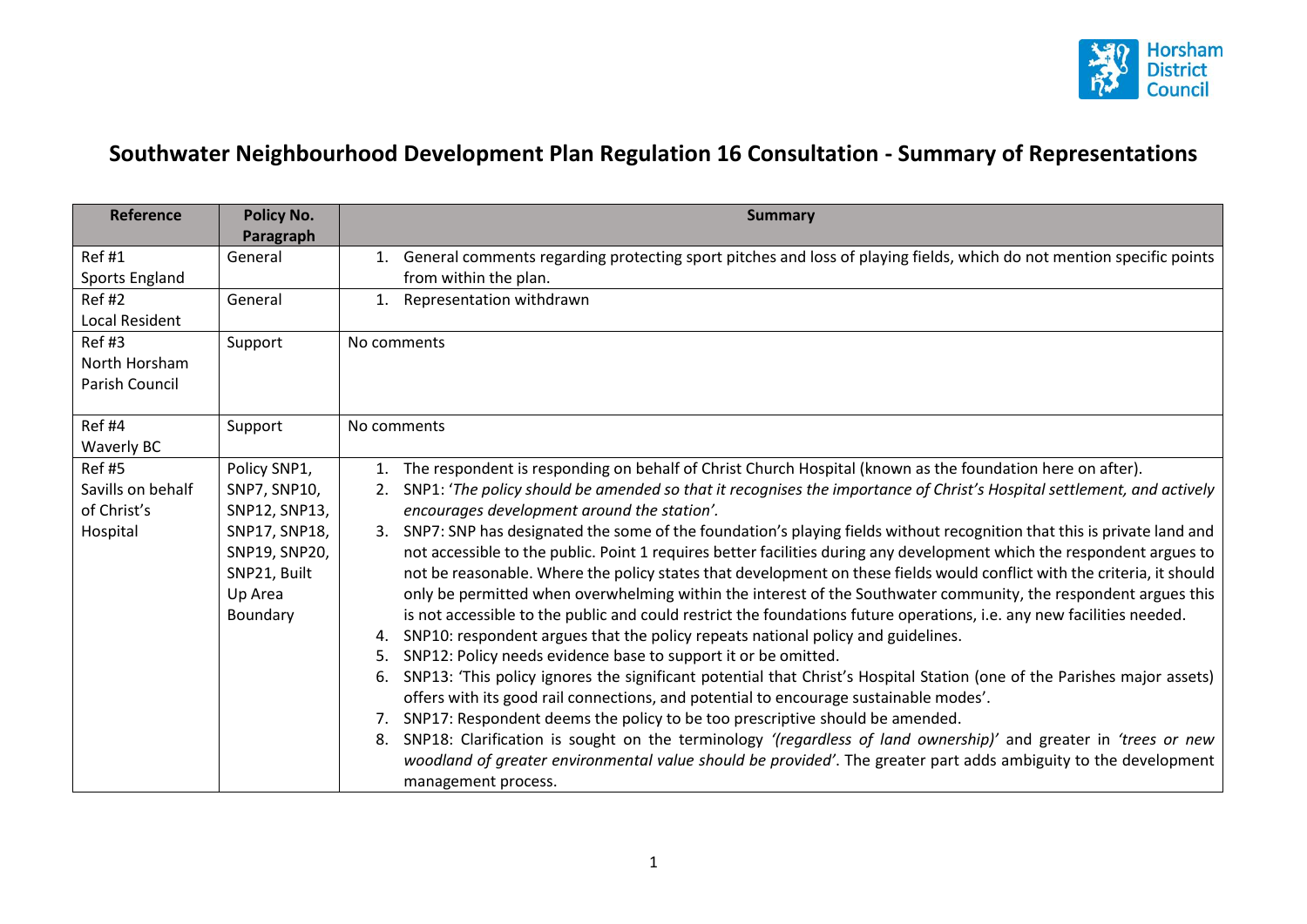

## **Southwater Neighbourhood Development Plan Regulation 16 Consultation - Summary of Representations**

| <b>Reference</b>      | <b>Policy No.</b><br>Paragraph | <b>Summary</b>                                                                                                                |
|-----------------------|--------------------------------|-------------------------------------------------------------------------------------------------------------------------------|
| Ref#1                 | General                        | General comments regarding protecting sport pitches and loss of playing fields, which do not mention specific points<br>1.    |
| Sports England        |                                | from within the plan.                                                                                                         |
| <b>Ref#2</b>          | General                        | Representation withdrawn<br>1.                                                                                                |
| <b>Local Resident</b> |                                |                                                                                                                               |
| Ref#3                 | Support                        | No comments                                                                                                                   |
| North Horsham         |                                |                                                                                                                               |
| Parish Council        |                                |                                                                                                                               |
|                       |                                |                                                                                                                               |
| <b>Ref #4</b>         | Support                        | No comments                                                                                                                   |
| Waverly BC            |                                |                                                                                                                               |
| <b>Ref #5</b>         | Policy SNP1,                   | The respondent is responding on behalf of Christ Church Hospital (known as the foundation here on after).<br>1.               |
| Savills on behalf     | SNP7, SNP10,                   | SNP1: 'The policy should be amended so that it recognises the importance of Christ's Hospital settlement, and actively<br>2.  |
| of Christ's           | SNP12, SNP13,                  | encourages development around the station'.                                                                                   |
| Hospital              | SNP17, SNP18,                  | SNP7: SNP has designated the some of the foundation's playing fields without recognition that this is private land and<br>3.  |
|                       | SNP19, SNP20,                  | not accessible to the public. Point 1 requires better facilities during any development which the respondent argues to        |
|                       | SNP21, Built                   | not be reasonable. Where the policy states that development on these fields would conflict with the criteria, it should       |
|                       | Up Area                        | only be permitted when overwhelming within the interest of the Southwater community, the respondent argues this               |
|                       | Boundary                       | is not accessible to the public and could restrict the foundations future operations, i.e. any new facilities needed.         |
|                       |                                | SNP10: respondent argues that the policy repeats national policy and guidelines.<br>4.                                        |
|                       |                                | SNP12: Policy needs evidence base to support it or be omitted.<br>5.                                                          |
|                       |                                | SNP13: 'This policy ignores the significant potential that Christ's Hospital Station (one of the Parishes major assets)<br>6. |
|                       |                                | offers with its good rail connections, and potential to encourage sustainable modes'.                                         |
|                       |                                | SNP17: Respondent deems the policy to be too prescriptive should be amended.<br>7.                                            |
|                       |                                | SNP18: Clarification is sought on the terminology '(regardless of land ownership)' and greater in 'trees or new<br>8.         |
|                       |                                | woodland of greater environmental value should be provided'. The greater part adds ambiguity to the development               |
|                       |                                | management process.                                                                                                           |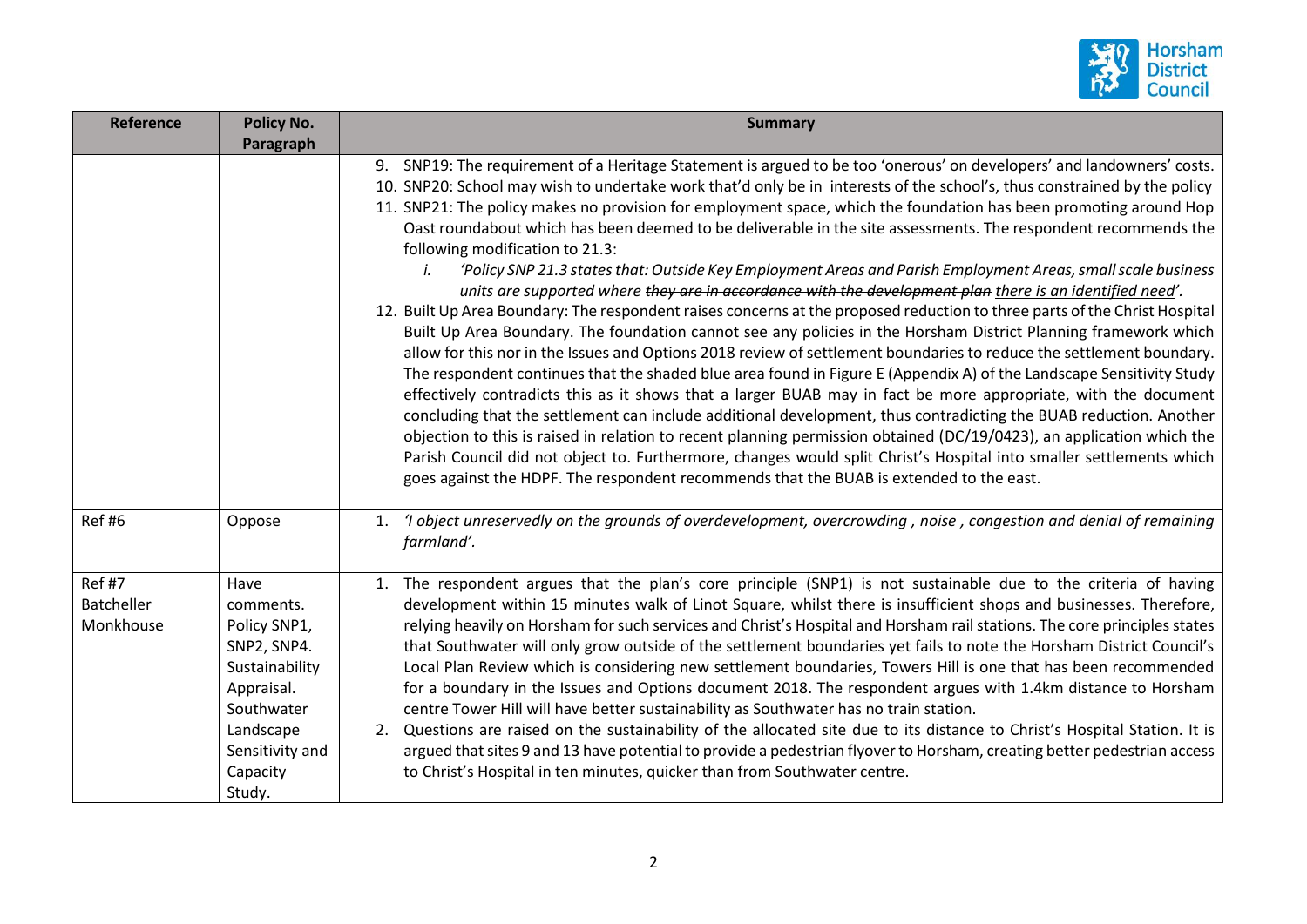

| <b>Reference</b>                         | <b>Policy No.</b><br>Paragraph                                                                                                                       | <b>Summary</b>                                                                                                                                                                                                                                                                                                                                                                                                                                                                                                                                                                                                                                                                                                                                                                                                                                                                                                                                                                                                                                                                                                                                                                                                                                                                                                                                                                                                                                                                                                                                                                                                                                                                                                                                                                                                                             |
|------------------------------------------|------------------------------------------------------------------------------------------------------------------------------------------------------|--------------------------------------------------------------------------------------------------------------------------------------------------------------------------------------------------------------------------------------------------------------------------------------------------------------------------------------------------------------------------------------------------------------------------------------------------------------------------------------------------------------------------------------------------------------------------------------------------------------------------------------------------------------------------------------------------------------------------------------------------------------------------------------------------------------------------------------------------------------------------------------------------------------------------------------------------------------------------------------------------------------------------------------------------------------------------------------------------------------------------------------------------------------------------------------------------------------------------------------------------------------------------------------------------------------------------------------------------------------------------------------------------------------------------------------------------------------------------------------------------------------------------------------------------------------------------------------------------------------------------------------------------------------------------------------------------------------------------------------------------------------------------------------------------------------------------------------------|
|                                          |                                                                                                                                                      | 9. SNP19: The requirement of a Heritage Statement is argued to be too 'onerous' on developers' and landowners' costs.<br>10. SNP20: School may wish to undertake work that'd only be in interests of the school's, thus constrained by the policy<br>11. SNP21: The policy makes no provision for employment space, which the foundation has been promoting around Hop<br>Oast roundabout which has been deemed to be deliverable in the site assessments. The respondent recommends the<br>following modification to 21.3:<br>'Policy SNP 21.3 states that: Outside Key Employment Areas and Parish Employment Areas, small scale business<br>units are supported where they are in accordance with the development plan there is an identified need'.<br>12. Built Up Area Boundary: The respondent raises concerns at the proposed reduction to three parts of the Christ Hospital<br>Built Up Area Boundary. The foundation cannot see any policies in the Horsham District Planning framework which<br>allow for this nor in the Issues and Options 2018 review of settlement boundaries to reduce the settlement boundary.<br>The respondent continues that the shaded blue area found in Figure E (Appendix A) of the Landscape Sensitivity Study<br>effectively contradicts this as it shows that a larger BUAB may in fact be more appropriate, with the document<br>concluding that the settlement can include additional development, thus contradicting the BUAB reduction. Another<br>objection to this is raised in relation to recent planning permission obtained (DC/19/0423), an application which the<br>Parish Council did not object to. Furthermore, changes would split Christ's Hospital into smaller settlements which<br>goes against the HDPF. The respondent recommends that the BUAB is extended to the east. |
| Ref#6                                    | Oppose                                                                                                                                               | 'I object unreservedly on the grounds of overdevelopment, overcrowding, noise, congestion and denial of remaining<br>1.<br>farmland'.                                                                                                                                                                                                                                                                                                                                                                                                                                                                                                                                                                                                                                                                                                                                                                                                                                                                                                                                                                                                                                                                                                                                                                                                                                                                                                                                                                                                                                                                                                                                                                                                                                                                                                      |
| Ref #7<br><b>Batcheller</b><br>Monkhouse | Have<br>comments.<br>Policy SNP1,<br>SNP2, SNP4.<br>Sustainability<br>Appraisal.<br>Southwater<br>Landscape<br>Sensitivity and<br>Capacity<br>Study. | 1. The respondent argues that the plan's core principle (SNP1) is not sustainable due to the criteria of having<br>development within 15 minutes walk of Linot Square, whilst there is insufficient shops and businesses. Therefore,<br>relying heavily on Horsham for such services and Christ's Hospital and Horsham rail stations. The core principles states<br>that Southwater will only grow outside of the settlement boundaries yet fails to note the Horsham District Council's<br>Local Plan Review which is considering new settlement boundaries, Towers Hill is one that has been recommended<br>for a boundary in the Issues and Options document 2018. The respondent argues with 1.4km distance to Horsham<br>centre Tower Hill will have better sustainability as Southwater has no train station.<br>Questions are raised on the sustainability of the allocated site due to its distance to Christ's Hospital Station. It is<br>argued that sites 9 and 13 have potential to provide a pedestrian flyover to Horsham, creating better pedestrian access<br>to Christ's Hospital in ten minutes, quicker than from Southwater centre.                                                                                                                                                                                                                                                                                                                                                                                                                                                                                                                                                                                                                                                                                    |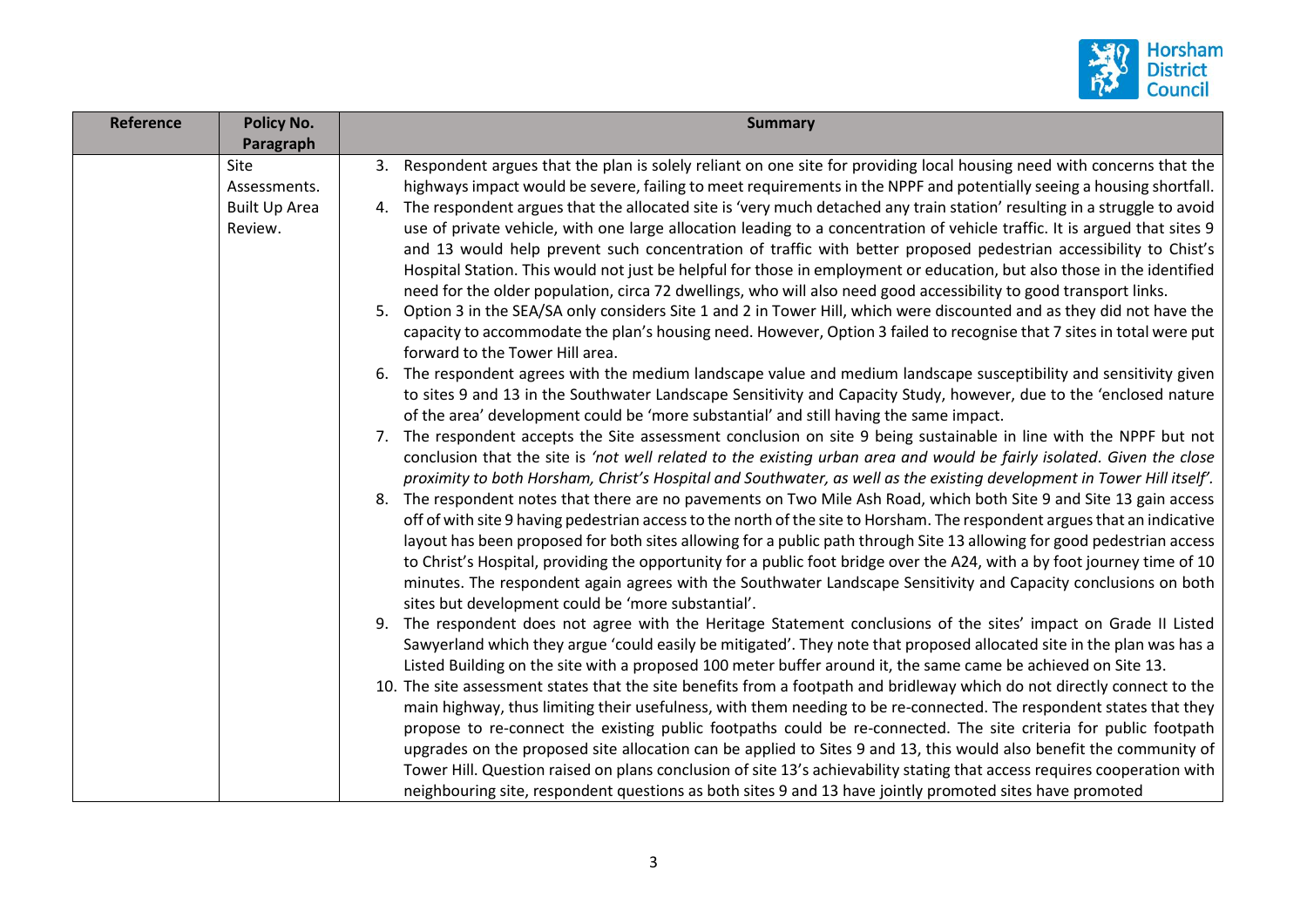

| <b>Reference</b> | <b>Policy No.</b>    | <b>Summary</b>                                                                                                                                                        |
|------------------|----------------------|-----------------------------------------------------------------------------------------------------------------------------------------------------------------------|
|                  | Paragraph            |                                                                                                                                                                       |
|                  | Site                 | 3. Respondent argues that the plan is solely reliant on one site for providing local housing need with concerns that the                                              |
|                  | Assessments.         | highways impact would be severe, failing to meet requirements in the NPPF and potentially seeing a housing shortfall.                                                 |
|                  | <b>Built Up Area</b> | 4. The respondent argues that the allocated site is 'very much detached any train station' resulting in a struggle to avoid                                           |
|                  | Review.              | use of private vehicle, with one large allocation leading to a concentration of vehicle traffic. It is argued that sites 9                                            |
|                  |                      | and 13 would help prevent such concentration of traffic with better proposed pedestrian accessibility to Chist's                                                      |
|                  |                      | Hospital Station. This would not just be helpful for those in employment or education, but also those in the identified                                               |
|                  |                      | need for the older population, circa 72 dwellings, who will also need good accessibility to good transport links.                                                     |
|                  |                      | 5. Option 3 in the SEA/SA only considers Site 1 and 2 in Tower Hill, which were discounted and as they did not have the                                               |
|                  |                      | capacity to accommodate the plan's housing need. However, Option 3 failed to recognise that 7 sites in total were put                                                 |
|                  |                      | forward to the Tower Hill area.                                                                                                                                       |
|                  |                      | 6. The respondent agrees with the medium landscape value and medium landscape susceptibility and sensitivity given                                                    |
|                  |                      | to sites 9 and 13 in the Southwater Landscape Sensitivity and Capacity Study, however, due to the 'enclosed nature                                                    |
|                  |                      | of the area' development could be 'more substantial' and still having the same impact.                                                                                |
|                  |                      | 7. The respondent accepts the Site assessment conclusion on site 9 being sustainable in line with the NPPF but not                                                    |
|                  |                      | conclusion that the site is 'not well related to the existing urban area and would be fairly isolated. Given the close                                                |
|                  |                      | proximity to both Horsham, Christ's Hospital and Southwater, as well as the existing development in Tower Hill itself'.                                               |
|                  |                      | 8. The respondent notes that there are no pavements on Two Mile Ash Road, which both Site 9 and Site 13 gain access                                                   |
|                  |                      | off of with site 9 having pedestrian access to the north of the site to Horsham. The respondent argues that an indicative                                             |
|                  |                      | layout has been proposed for both sites allowing for a public path through Site 13 allowing for good pedestrian access                                                |
|                  |                      | to Christ's Hospital, providing the opportunity for a public foot bridge over the A24, with a by foot journey time of 10                                              |
|                  |                      | minutes. The respondent again agrees with the Southwater Landscape Sensitivity and Capacity conclusions on both<br>sites but development could be 'more substantial'. |
|                  |                      | 9. The respondent does not agree with the Heritage Statement conclusions of the sites' impact on Grade II Listed                                                      |
|                  |                      | Sawyerland which they argue 'could easily be mitigated'. They note that proposed allocated site in the plan was has a                                                 |
|                  |                      | Listed Building on the site with a proposed 100 meter buffer around it, the same came be achieved on Site 13.                                                         |
|                  |                      | 10. The site assessment states that the site benefits from a footpath and bridleway which do not directly connect to the                                              |
|                  |                      | main highway, thus limiting their usefulness, with them needing to be re-connected. The respondent states that they                                                   |
|                  |                      | propose to re-connect the existing public footpaths could be re-connected. The site criteria for public footpath                                                      |
|                  |                      | upgrades on the proposed site allocation can be applied to Sites 9 and 13, this would also benefit the community of                                                   |
|                  |                      | Tower Hill. Question raised on plans conclusion of site 13's achievability stating that access requires cooperation with                                              |
|                  |                      | neighbouring site, respondent questions as both sites 9 and 13 have jointly promoted sites have promoted                                                              |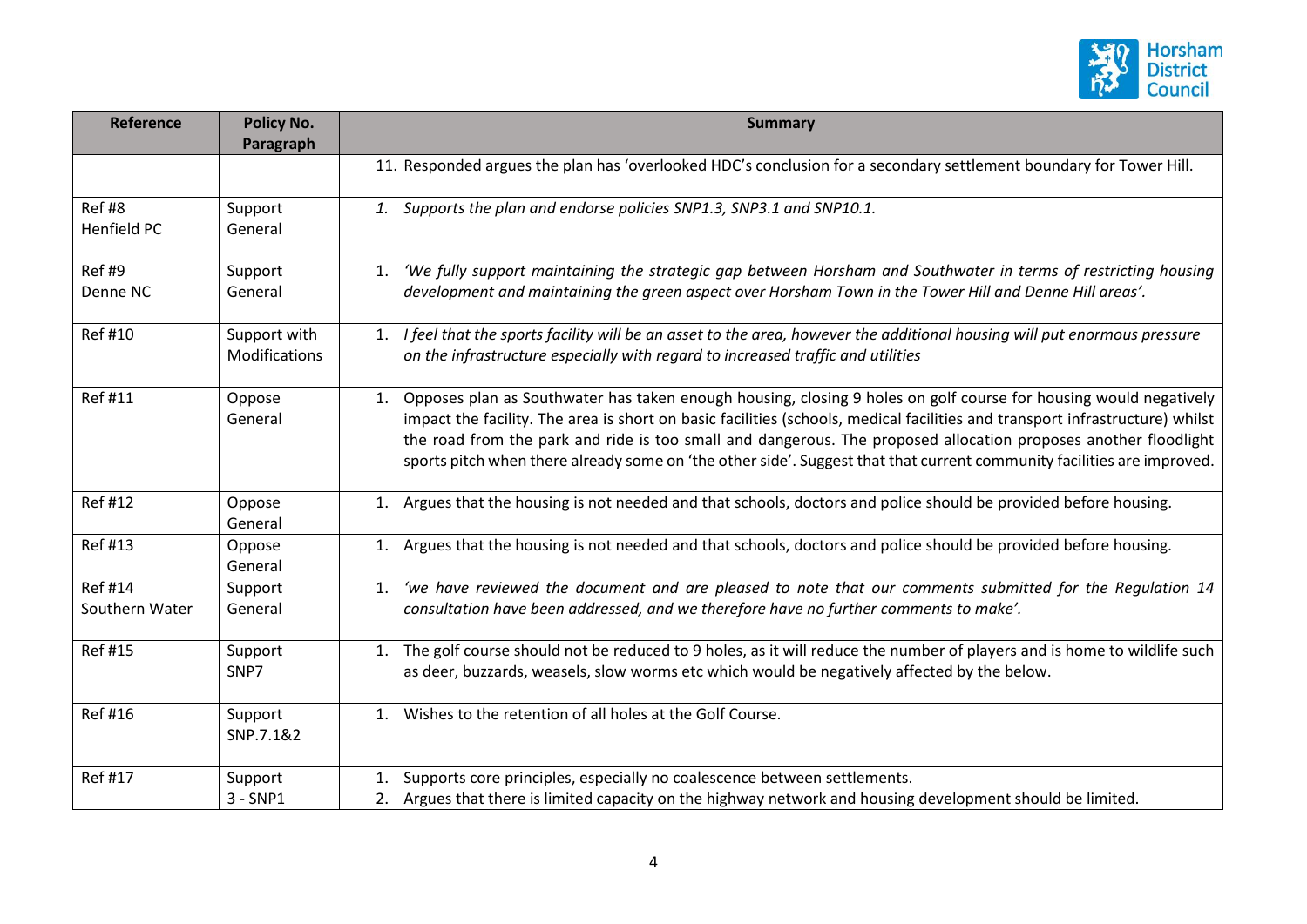

| <b>Reference</b>                 | <b>Policy No.</b><br>Paragraph | <b>Summary</b>                                                                                                                                                                                                                                                                                                                                                                                                                                                                                   |
|----------------------------------|--------------------------------|--------------------------------------------------------------------------------------------------------------------------------------------------------------------------------------------------------------------------------------------------------------------------------------------------------------------------------------------------------------------------------------------------------------------------------------------------------------------------------------------------|
|                                  |                                | 11. Responded argues the plan has 'overlooked HDC's conclusion for a secondary settlement boundary for Tower Hill.                                                                                                                                                                                                                                                                                                                                                                               |
| Ref#8<br>Henfield PC             | Support<br>General             | 1. Supports the plan and endorse policies SNP1.3, SNP3.1 and SNP10.1.                                                                                                                                                                                                                                                                                                                                                                                                                            |
| Ref #9<br>Denne NC               | Support<br>General             | 'We fully support maintaining the strategic gap between Horsham and Southwater in terms of restricting housing<br>1.<br>development and maintaining the green aspect over Horsham Town in the Tower Hill and Denne Hill areas'.                                                                                                                                                                                                                                                                  |
| Ref #10                          | Support with<br>Modifications  | 1. I feel that the sports facility will be an asset to the area, however the additional housing will put enormous pressure<br>on the infrastructure especially with regard to increased traffic and utilities                                                                                                                                                                                                                                                                                    |
| <b>Ref#11</b>                    | Oppose<br>General              | 1. Opposes plan as Southwater has taken enough housing, closing 9 holes on golf course for housing would negatively<br>impact the facility. The area is short on basic facilities (schools, medical facilities and transport infrastructure) whilst<br>the road from the park and ride is too small and dangerous. The proposed allocation proposes another floodlight<br>sports pitch when there already some on 'the other side'. Suggest that that current community facilities are improved. |
| <b>Ref#12</b>                    | Oppose<br>General              | 1. Argues that the housing is not needed and that schools, doctors and police should be provided before housing.                                                                                                                                                                                                                                                                                                                                                                                 |
| <b>Ref#13</b>                    | Oppose<br>General              | 1. Argues that the housing is not needed and that schools, doctors and police should be provided before housing.                                                                                                                                                                                                                                                                                                                                                                                 |
| <b>Ref #14</b><br>Southern Water | Support<br>General             | 'we have reviewed the document and are pleased to note that our comments submitted for the Regulation 14<br>1.<br>consultation have been addressed, and we therefore have no further comments to make'.                                                                                                                                                                                                                                                                                          |
| Ref #15                          | Support<br>SNP7                | 1. The golf course should not be reduced to 9 holes, as it will reduce the number of players and is home to wildlife such<br>as deer, buzzards, weasels, slow worms etc which would be negatively affected by the below.                                                                                                                                                                                                                                                                         |
| <b>Ref#16</b>                    | Support<br>SNP.7.1&2           | 1. Wishes to the retention of all holes at the Golf Course.                                                                                                                                                                                                                                                                                                                                                                                                                                      |
| <b>Ref#17</b>                    | Support<br>$3 - SNP1$          | Supports core principles, especially no coalescence between settlements.<br>1.<br>2. Argues that there is limited capacity on the highway network and housing development should be limited.                                                                                                                                                                                                                                                                                                     |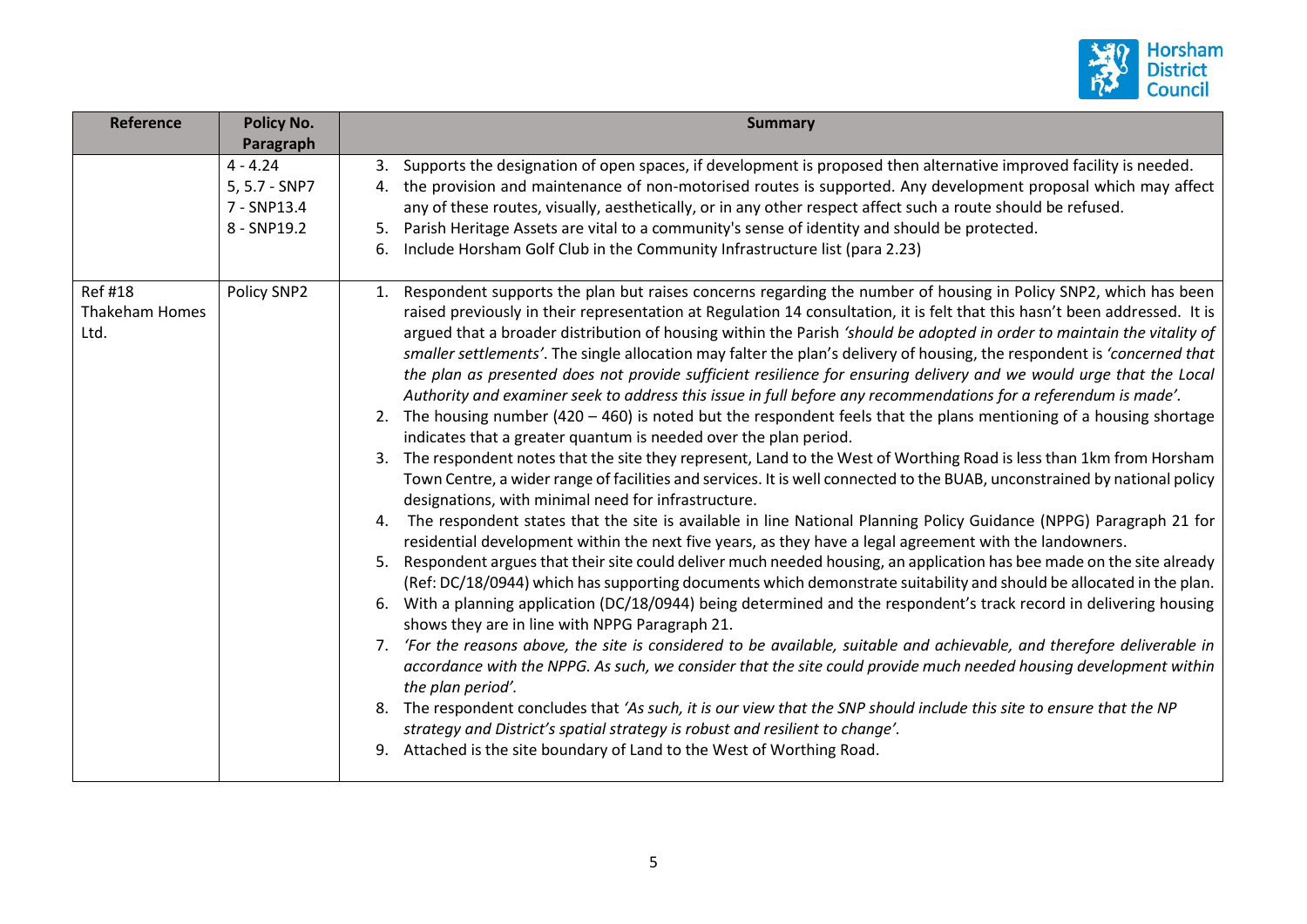

| <b>Reference</b>                        | <b>Policy No.</b><br>Paragraph                            | <b>Summary</b>                                                                                                                                                                                                                                                                                                                                                                                                                                                                                                                                                                                                                                                                                                                                                                                                                                                                                                                                                                                                                                                                                                                                                                                                                                                                                                                                                                                                                                                                                                                                                                                                                                                                                                                                                                                                                                                                                                                                                                                                                                                                                                                                                                                                                                                                                                                                                                                                                                                                                             |
|-----------------------------------------|-----------------------------------------------------------|------------------------------------------------------------------------------------------------------------------------------------------------------------------------------------------------------------------------------------------------------------------------------------------------------------------------------------------------------------------------------------------------------------------------------------------------------------------------------------------------------------------------------------------------------------------------------------------------------------------------------------------------------------------------------------------------------------------------------------------------------------------------------------------------------------------------------------------------------------------------------------------------------------------------------------------------------------------------------------------------------------------------------------------------------------------------------------------------------------------------------------------------------------------------------------------------------------------------------------------------------------------------------------------------------------------------------------------------------------------------------------------------------------------------------------------------------------------------------------------------------------------------------------------------------------------------------------------------------------------------------------------------------------------------------------------------------------------------------------------------------------------------------------------------------------------------------------------------------------------------------------------------------------------------------------------------------------------------------------------------------------------------------------------------------------------------------------------------------------------------------------------------------------------------------------------------------------------------------------------------------------------------------------------------------------------------------------------------------------------------------------------------------------------------------------------------------------------------------------------------------------|
|                                         | $4 - 4.24$<br>5, 5.7 - SNP7<br>7 - SNP13.4<br>8 - SNP19.2 | Supports the designation of open spaces, if development is proposed then alternative improved facility is needed.<br>3.<br>the provision and maintenance of non-motorised routes is supported. Any development proposal which may affect<br>4.<br>any of these routes, visually, aesthetically, or in any other respect affect such a route should be refused.<br>Parish Heritage Assets are vital to a community's sense of identity and should be protected.<br>5.<br>Include Horsham Golf Club in the Community Infrastructure list (para 2.23)<br>6.                                                                                                                                                                                                                                                                                                                                                                                                                                                                                                                                                                                                                                                                                                                                                                                                                                                                                                                                                                                                                                                                                                                                                                                                                                                                                                                                                                                                                                                                                                                                                                                                                                                                                                                                                                                                                                                                                                                                                   |
| <b>Ref#18</b><br>Thakeham Homes<br>Ltd. | Policy SNP2                                               | Respondent supports the plan but raises concerns regarding the number of housing in Policy SNP2, which has been<br>1.<br>raised previously in their representation at Regulation 14 consultation, it is felt that this hasn't been addressed. It is<br>argued that a broader distribution of housing within the Parish 'should be adopted in order to maintain the vitality of<br>smaller settlements'. The single allocation may falter the plan's delivery of housing, the respondent is 'concerned that<br>the plan as presented does not provide sufficient resilience for ensuring delivery and we would urge that the Local<br>Authority and examiner seek to address this issue in full before any recommendations for a referendum is made'.<br>2. The housing number (420 – 460) is noted but the respondent feels that the plans mentioning of a housing shortage<br>indicates that a greater quantum is needed over the plan period.<br>The respondent notes that the site they represent, Land to the West of Worthing Road is less than 1km from Horsham<br>3.<br>Town Centre, a wider range of facilities and services. It is well connected to the BUAB, unconstrained by national policy<br>designations, with minimal need for infrastructure.<br>The respondent states that the site is available in line National Planning Policy Guidance (NPPG) Paragraph 21 for<br>4.<br>residential development within the next five years, as they have a legal agreement with the landowners.<br>Respondent argues that their site could deliver much needed housing, an application has bee made on the site already<br>5.<br>(Ref: DC/18/0944) which has supporting documents which demonstrate suitability and should be allocated in the plan.<br>With a planning application (DC/18/0944) being determined and the respondent's track record in delivering housing<br>6.<br>shows they are in line with NPPG Paragraph 21.<br>'For the reasons above, the site is considered to be available, suitable and achievable, and therefore deliverable in<br>7.<br>accordance with the NPPG. As such, we consider that the site could provide much needed housing development within<br>the plan period'.<br>The respondent concludes that 'As such, it is our view that the SNP should include this site to ensure that the NP<br>8.<br>strategy and District's spatial strategy is robust and resilient to change'.<br>Attached is the site boundary of Land to the West of Worthing Road.<br>9. |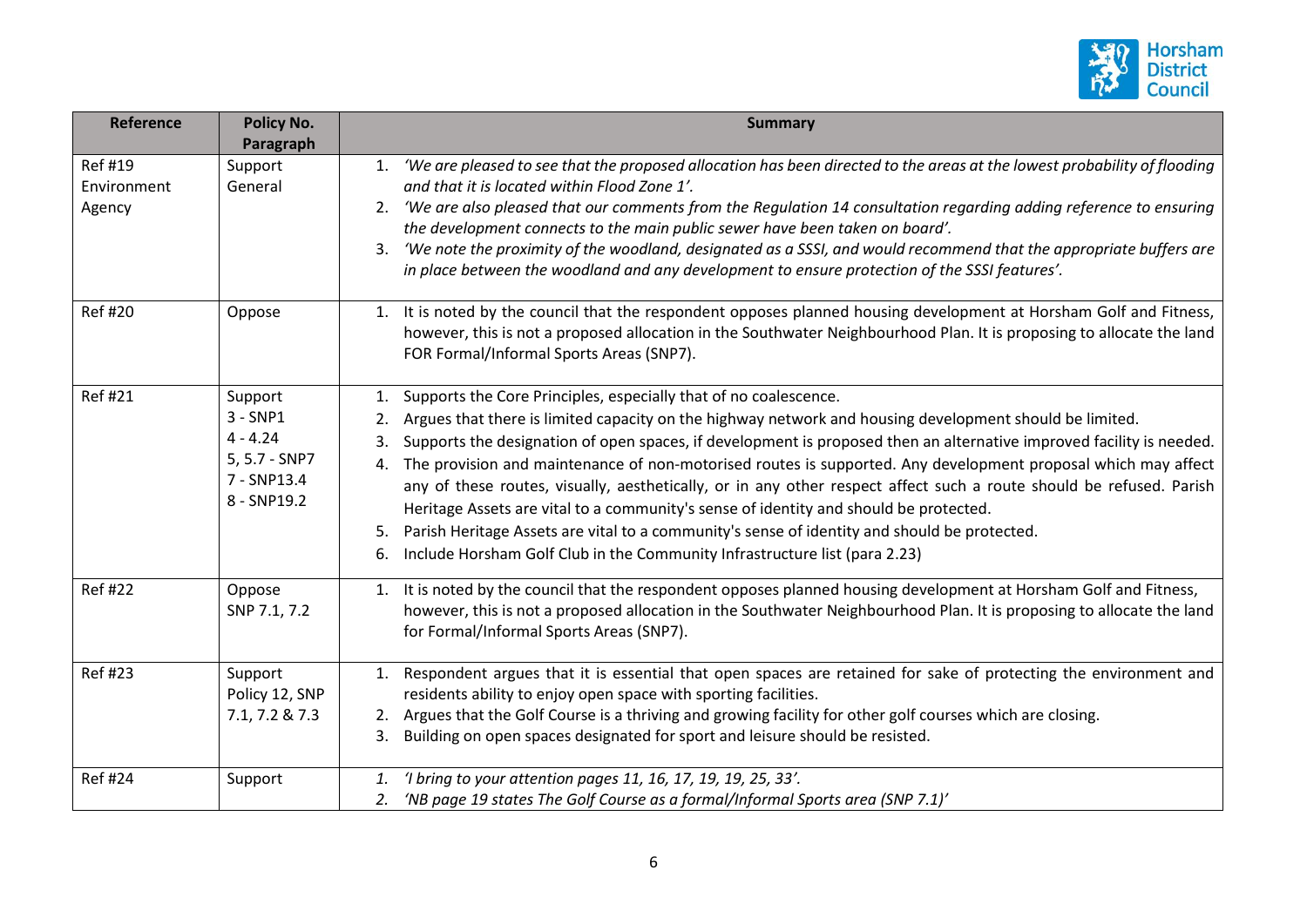

| <b>Reference</b>                       | <b>Policy No.</b>                                                                  | <b>Summary</b>                                                                                                                                                                                                                                                                                                                                                                                                                                                                                                                                                                                                                                                                                                                                                                                                                                   |
|----------------------------------------|------------------------------------------------------------------------------------|--------------------------------------------------------------------------------------------------------------------------------------------------------------------------------------------------------------------------------------------------------------------------------------------------------------------------------------------------------------------------------------------------------------------------------------------------------------------------------------------------------------------------------------------------------------------------------------------------------------------------------------------------------------------------------------------------------------------------------------------------------------------------------------------------------------------------------------------------|
|                                        | Paragraph                                                                          |                                                                                                                                                                                                                                                                                                                                                                                                                                                                                                                                                                                                                                                                                                                                                                                                                                                  |
| <b>Ref#19</b><br>Environment<br>Agency | Support<br>General                                                                 | 1. 'We are pleased to see that the proposed allocation has been directed to the areas at the lowest probability of flooding<br>and that it is located within Flood Zone 1'.<br>'We are also pleased that our comments from the Regulation 14 consultation regarding adding reference to ensuring<br>2.<br>the development connects to the main public sewer have been taken on board'.<br>'We note the proximity of the woodland, designated as a SSSI, and would recommend that the appropriate buffers are<br>3.<br>in place between the woodland and any development to ensure protection of the SSSI features'.                                                                                                                                                                                                                              |
| <b>Ref#20</b>                          | Oppose                                                                             | 1. It is noted by the council that the respondent opposes planned housing development at Horsham Golf and Fitness,<br>however, this is not a proposed allocation in the Southwater Neighbourhood Plan. It is proposing to allocate the land<br>FOR Formal/Informal Sports Areas (SNP7).                                                                                                                                                                                                                                                                                                                                                                                                                                                                                                                                                          |
| <b>Ref#21</b>                          | Support<br>$3 - SNP1$<br>$4 - 4.24$<br>5, 5.7 - SNP7<br>7 - SNP13.4<br>8 - SNP19.2 | Supports the Core Principles, especially that of no coalescence.<br>1.<br>Argues that there is limited capacity on the highway network and housing development should be limited.<br>Supports the designation of open spaces, if development is proposed then an alternative improved facility is needed.<br>3.<br>The provision and maintenance of non-motorised routes is supported. Any development proposal which may affect<br>4.<br>any of these routes, visually, aesthetically, or in any other respect affect such a route should be refused. Parish<br>Heritage Assets are vital to a community's sense of identity and should be protected.<br>Parish Heritage Assets are vital to a community's sense of identity and should be protected.<br>5.<br>Include Horsham Golf Club in the Community Infrastructure list (para 2.23)<br>6. |
| <b>Ref #22</b>                         | Oppose<br>SNP 7.1, 7.2                                                             | 1. It is noted by the council that the respondent opposes planned housing development at Horsham Golf and Fitness,<br>however, this is not a proposed allocation in the Southwater Neighbourhood Plan. It is proposing to allocate the land<br>for Formal/Informal Sports Areas (SNP7).                                                                                                                                                                                                                                                                                                                                                                                                                                                                                                                                                          |
| <b>Ref#23</b>                          | Support<br>Policy 12, SNP<br>7.1, 7.2 & 7.3                                        | 1. Respondent argues that it is essential that open spaces are retained for sake of protecting the environment and<br>residents ability to enjoy open space with sporting facilities.<br>2. Argues that the Golf Course is a thriving and growing facility for other golf courses which are closing.<br>Building on open spaces designated for sport and leisure should be resisted.<br>3.                                                                                                                                                                                                                                                                                                                                                                                                                                                       |
| <b>Ref#24</b>                          | Support                                                                            | 'I bring to your attention pages 11, 16, 17, 19, 19, 25, 33'.<br>1.<br>'NB page 19 states The Golf Course as a formal/Informal Sports area (SNP 7.1)'<br>2.                                                                                                                                                                                                                                                                                                                                                                                                                                                                                                                                                                                                                                                                                      |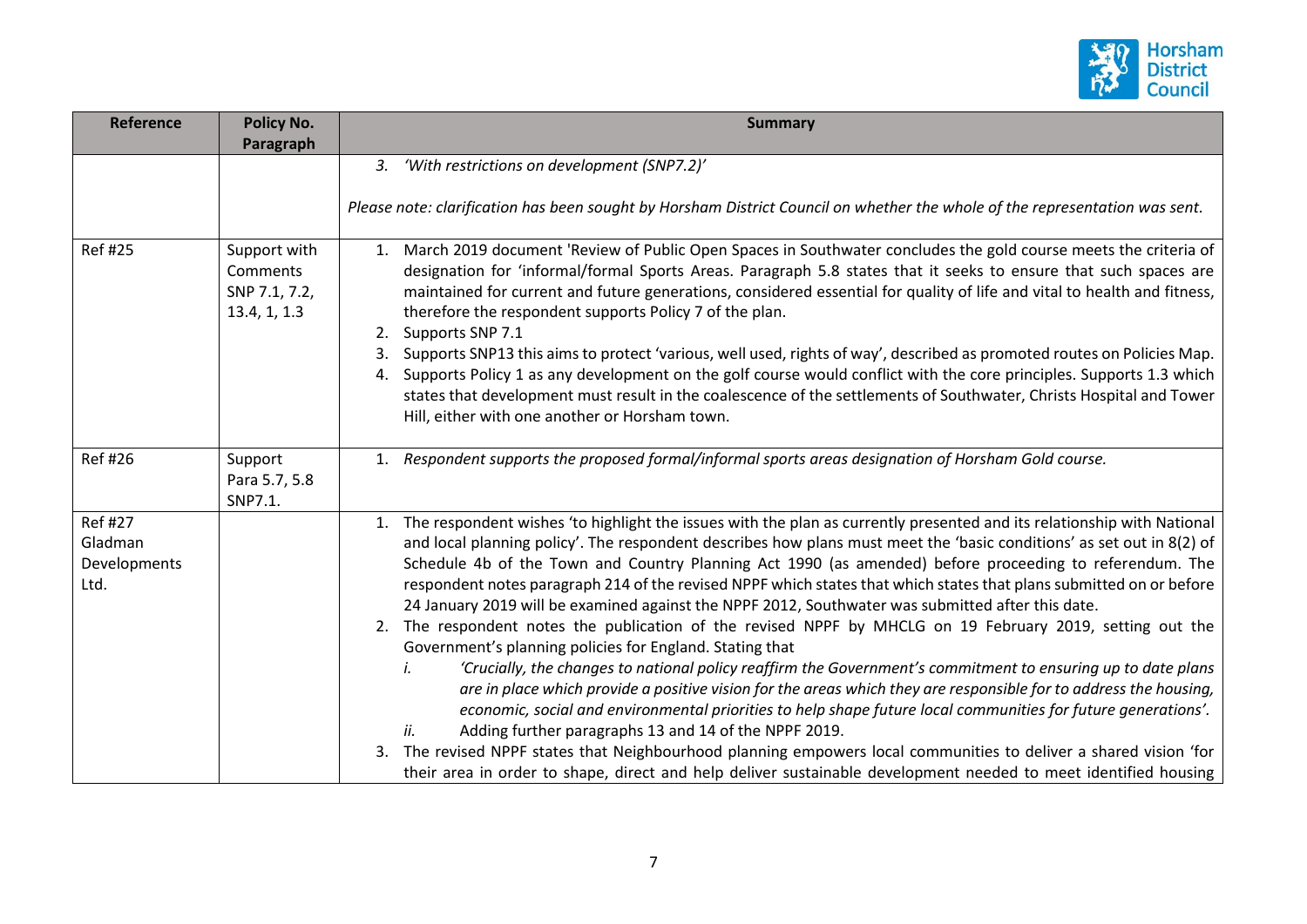

| <b>Reference</b>                                  | <b>Policy No.</b>                                         | <b>Summary</b>                                                                                                                                                                                                                                                                                                                                                                                                                                                                                                                                                                                                                                                                                                                                                                                                                                                                                                                                                                                                                                                                                                                                                                                                                                                                                                                                                                                                                            |
|---------------------------------------------------|-----------------------------------------------------------|-------------------------------------------------------------------------------------------------------------------------------------------------------------------------------------------------------------------------------------------------------------------------------------------------------------------------------------------------------------------------------------------------------------------------------------------------------------------------------------------------------------------------------------------------------------------------------------------------------------------------------------------------------------------------------------------------------------------------------------------------------------------------------------------------------------------------------------------------------------------------------------------------------------------------------------------------------------------------------------------------------------------------------------------------------------------------------------------------------------------------------------------------------------------------------------------------------------------------------------------------------------------------------------------------------------------------------------------------------------------------------------------------------------------------------------------|
|                                                   | Paragraph                                                 |                                                                                                                                                                                                                                                                                                                                                                                                                                                                                                                                                                                                                                                                                                                                                                                                                                                                                                                                                                                                                                                                                                                                                                                                                                                                                                                                                                                                                                           |
|                                                   |                                                           | 3. 'With restrictions on development (SNP7.2)'                                                                                                                                                                                                                                                                                                                                                                                                                                                                                                                                                                                                                                                                                                                                                                                                                                                                                                                                                                                                                                                                                                                                                                                                                                                                                                                                                                                            |
|                                                   |                                                           | Please note: clarification has been sought by Horsham District Council on whether the whole of the representation was sent.                                                                                                                                                                                                                                                                                                                                                                                                                                                                                                                                                                                                                                                                                                                                                                                                                                                                                                                                                                                                                                                                                                                                                                                                                                                                                                               |
| <b>Ref #25</b>                                    | Support with<br>Comments<br>SNP 7.1, 7.2,<br>13.4, 1, 1.3 | March 2019 document 'Review of Public Open Spaces in Southwater concludes the gold course meets the criteria of<br>1.<br>designation for 'informal/formal Sports Areas. Paragraph 5.8 states that it seeks to ensure that such spaces are<br>maintained for current and future generations, considered essential for quality of life and vital to health and fitness,<br>therefore the respondent supports Policy 7 of the plan.<br>Supports SNP 7.1<br>2.<br>Supports SNP13 this aims to protect 'various, well used, rights of way', described as promoted routes on Policies Map.<br>3.<br>Supports Policy 1 as any development on the golf course would conflict with the core principles. Supports 1.3 which<br>4.<br>states that development must result in the coalescence of the settlements of Southwater, Christs Hospital and Tower<br>Hill, either with one another or Horsham town.                                                                                                                                                                                                                                                                                                                                                                                                                                                                                                                                          |
| <b>Ref#26</b>                                     | Support<br>Para 5.7, 5.8<br>SNP7.1.                       | 1. Respondent supports the proposed formal/informal sports areas designation of Horsham Gold course.                                                                                                                                                                                                                                                                                                                                                                                                                                                                                                                                                                                                                                                                                                                                                                                                                                                                                                                                                                                                                                                                                                                                                                                                                                                                                                                                      |
| <b>Ref #27</b><br>Gladman<br>Developments<br>Ltd. |                                                           | 1. The respondent wishes 'to highlight the issues with the plan as currently presented and its relationship with National<br>and local planning policy'. The respondent describes how plans must meet the 'basic conditions' as set out in 8(2) of<br>Schedule 4b of the Town and Country Planning Act 1990 (as amended) before proceeding to referendum. The<br>respondent notes paragraph 214 of the revised NPPF which states that which states that plans submitted on or before<br>24 January 2019 will be examined against the NPPF 2012, Southwater was submitted after this date.<br>2. The respondent notes the publication of the revised NPPF by MHCLG on 19 February 2019, setting out the<br>Government's planning policies for England. Stating that<br>'Crucially, the changes to national policy reaffirm the Government's commitment to ensuring up to date plans<br>İ.<br>are in place which provide a positive vision for the areas which they are responsible for to address the housing,<br>economic, social and environmental priorities to help shape future local communities for future generations'.<br>Adding further paragraphs 13 and 14 of the NPPF 2019.<br>ii.<br>The revised NPPF states that Neighbourhood planning empowers local communities to deliver a shared vision 'for<br>3.<br>their area in order to shape, direct and help deliver sustainable development needed to meet identified housing |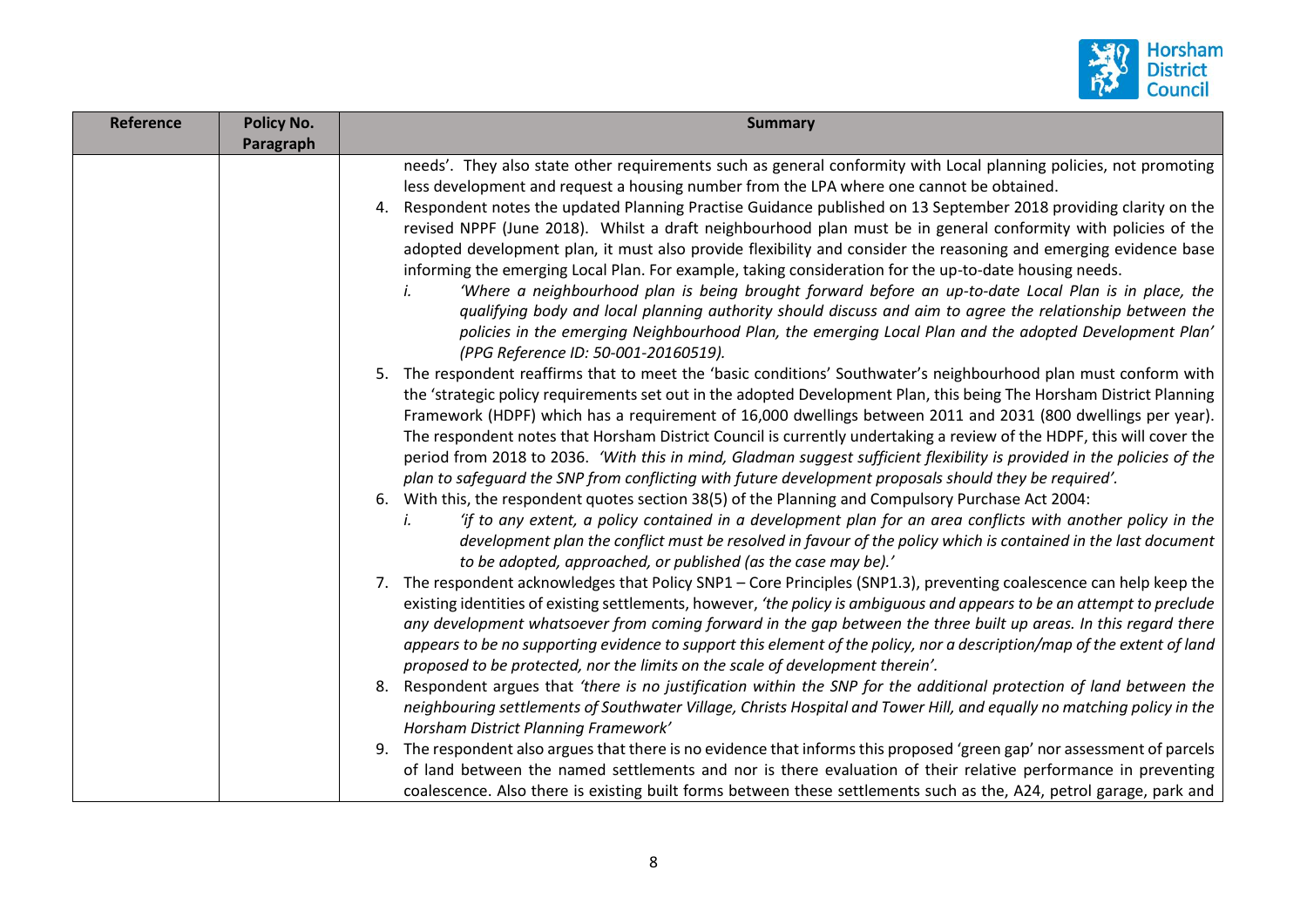

| <b>Reference</b> | <b>Policy No.</b> | <b>Summary</b>                                                                                                                                                                                                                                                                                                                                                                                                                                                                                                                                                                                                                                                                                                                                                                                                                                                                                                                                                                                                                                                         |
|------------------|-------------------|------------------------------------------------------------------------------------------------------------------------------------------------------------------------------------------------------------------------------------------------------------------------------------------------------------------------------------------------------------------------------------------------------------------------------------------------------------------------------------------------------------------------------------------------------------------------------------------------------------------------------------------------------------------------------------------------------------------------------------------------------------------------------------------------------------------------------------------------------------------------------------------------------------------------------------------------------------------------------------------------------------------------------------------------------------------------|
|                  | Paragraph         |                                                                                                                                                                                                                                                                                                                                                                                                                                                                                                                                                                                                                                                                                                                                                                                                                                                                                                                                                                                                                                                                        |
|                  |                   | needs'. They also state other requirements such as general conformity with Local planning policies, not promoting<br>less development and request a housing number from the LPA where one cannot be obtained.<br>4. Respondent notes the updated Planning Practise Guidance published on 13 September 2018 providing clarity on the<br>revised NPPF (June 2018). Whilst a draft neighbourhood plan must be in general conformity with policies of the<br>adopted development plan, it must also provide flexibility and consider the reasoning and emerging evidence base<br>informing the emerging Local Plan. For example, taking consideration for the up-to-date housing needs.<br>'Where a neighbourhood plan is being brought forward before an up-to-date Local Plan is in place, the<br>qualifying body and local planning authority should discuss and aim to agree the relationship between the<br>policies in the emerging Neighbourhood Plan, the emerging Local Plan and the adopted Development Plan'<br>(PPG Reference ID: 50-001-20160519).            |
|                  |                   | 5. The respondent reaffirms that to meet the 'basic conditions' Southwater's neighbourhood plan must conform with<br>the 'strategic policy requirements set out in the adopted Development Plan, this being The Horsham District Planning<br>Framework (HDPF) which has a requirement of 16,000 dwellings between 2011 and 2031 (800 dwellings per year).<br>The respondent notes that Horsham District Council is currently undertaking a review of the HDPF, this will cover the<br>period from 2018 to 2036. 'With this in mind, Gladman suggest sufficient flexibility is provided in the policies of the<br>plan to safeguard the SNP from conflicting with future development proposals should they be required'.<br>6. With this, the respondent quotes section 38(5) of the Planning and Compulsory Purchase Act 2004:<br>'if to any extent, a policy contained in a development plan for an area conflicts with another policy in the<br>İ.<br>development plan the conflict must be resolved in favour of the policy which is contained in the last document |
|                  |                   | to be adopted, approached, or published (as the case may be).'<br>7. The respondent acknowledges that Policy SNP1 - Core Principles (SNP1.3), preventing coalescence can help keep the<br>existing identities of existing settlements, however, 'the policy is ambiguous and appears to be an attempt to preclude<br>any development whatsoever from coming forward in the gap between the three built up areas. In this regard there<br>appears to be no supporting evidence to support this element of the policy, nor a description/map of the extent of land<br>proposed to be protected, nor the limits on the scale of development therein'.<br>8. Respondent argues that 'there is no justification within the SNP for the additional protection of land between the                                                                                                                                                                                                                                                                                            |
|                  |                   | neighbouring settlements of Southwater Village, Christs Hospital and Tower Hill, and equally no matching policy in the<br>Horsham District Planning Framework'<br>9. The respondent also argues that there is no evidence that informs this proposed 'green gap' nor assessment of parcels<br>of land between the named settlements and nor is there evaluation of their relative performance in preventing<br>coalescence. Also there is existing built forms between these settlements such as the, A24, petrol garage, park and                                                                                                                                                                                                                                                                                                                                                                                                                                                                                                                                     |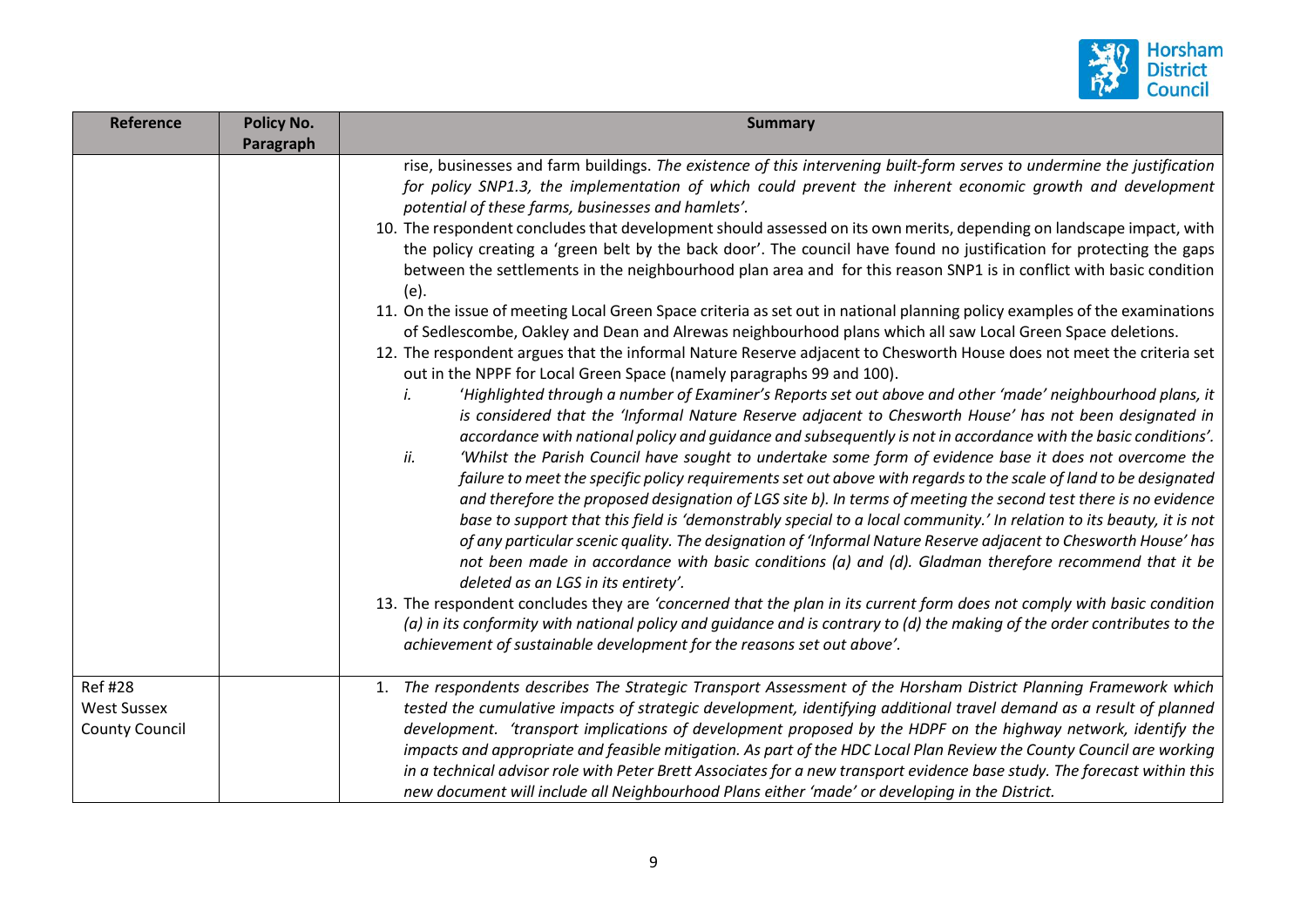

| <b>Reference</b>                                              | <b>Policy No.</b><br>Paragraph | <b>Summary</b>                                                                                                                                                                                                                                                                                                                                                                                                                                                                                                                                                                                                                                                                                                                                                                                                                                                                                                                                                                                                                                                                                                                                                                                                                                                                                                                                                                                                                                                                                                                                                                                                                                                                                                                                                                                                                                                                                                                                                                                                                                                                                                                                                                                                                                                                                                                                                                                                                                                                                                                                                 |
|---------------------------------------------------------------|--------------------------------|----------------------------------------------------------------------------------------------------------------------------------------------------------------------------------------------------------------------------------------------------------------------------------------------------------------------------------------------------------------------------------------------------------------------------------------------------------------------------------------------------------------------------------------------------------------------------------------------------------------------------------------------------------------------------------------------------------------------------------------------------------------------------------------------------------------------------------------------------------------------------------------------------------------------------------------------------------------------------------------------------------------------------------------------------------------------------------------------------------------------------------------------------------------------------------------------------------------------------------------------------------------------------------------------------------------------------------------------------------------------------------------------------------------------------------------------------------------------------------------------------------------------------------------------------------------------------------------------------------------------------------------------------------------------------------------------------------------------------------------------------------------------------------------------------------------------------------------------------------------------------------------------------------------------------------------------------------------------------------------------------------------------------------------------------------------------------------------------------------------------------------------------------------------------------------------------------------------------------------------------------------------------------------------------------------------------------------------------------------------------------------------------------------------------------------------------------------------------------------------------------------------------------------------------------------------|
|                                                               |                                | rise, businesses and farm buildings. The existence of this intervening built-form serves to undermine the justification<br>for policy SNP1.3, the implementation of which could prevent the inherent economic growth and development<br>potential of these farms, businesses and hamlets'.<br>10. The respondent concludes that development should assessed on its own merits, depending on landscape impact, with<br>the policy creating a 'green belt by the back door'. The council have found no justification for protecting the gaps<br>between the settlements in the neighbourhood plan area and for this reason SNP1 is in conflict with basic condition<br>(e).<br>11. On the issue of meeting Local Green Space criteria as set out in national planning policy examples of the examinations<br>of Sedlescombe, Oakley and Dean and Alrewas neighbourhood plans which all saw Local Green Space deletions.<br>12. The respondent argues that the informal Nature Reserve adjacent to Chesworth House does not meet the criteria set<br>out in the NPPF for Local Green Space (namely paragraphs 99 and 100).<br>'Highlighted through a number of Examiner's Reports set out above and other 'made' neighbourhood plans, it<br>i.<br>is considered that the 'Informal Nature Reserve adjacent to Chesworth House' has not been designated in<br>accordance with national policy and guidance and subsequently is not in accordance with the basic conditions'.<br>ii.<br>'Whilst the Parish Council have sought to undertake some form of evidence base it does not overcome the<br>failure to meet the specific policy requirements set out above with regards to the scale of land to be designated<br>and therefore the proposed designation of LGS site b). In terms of meeting the second test there is no evidence<br>base to support that this field is 'demonstrably special to a local community.' In relation to its beauty, it is not<br>of any particular scenic quality. The designation of 'Informal Nature Reserve adjacent to Chesworth House' has<br>not been made in accordance with basic conditions (a) and (d). Gladman therefore recommend that it be<br>deleted as an LGS in its entirety'.<br>13. The respondent concludes they are 'concerned that the plan in its current form does not comply with basic condition<br>(a) in its conformity with national policy and guidance and is contrary to (d) the making of the order contributes to the<br>achievement of sustainable development for the reasons set out above'. |
| <b>Ref #28</b><br><b>West Sussex</b><br><b>County Council</b> |                                | 1. The respondents describes The Strategic Transport Assessment of the Horsham District Planning Framework which<br>tested the cumulative impacts of strategic development, identifying additional travel demand as a result of planned<br>development. 'transport implications of development proposed by the HDPF on the highway network, identify the<br>impacts and appropriate and feasible mitigation. As part of the HDC Local Plan Review the County Council are working<br>in a technical advisor role with Peter Brett Associates for a new transport evidence base study. The forecast within this<br>new document will include all Neighbourhood Plans either 'made' or developing in the District.                                                                                                                                                                                                                                                                                                                                                                                                                                                                                                                                                                                                                                                                                                                                                                                                                                                                                                                                                                                                                                                                                                                                                                                                                                                                                                                                                                                                                                                                                                                                                                                                                                                                                                                                                                                                                                                |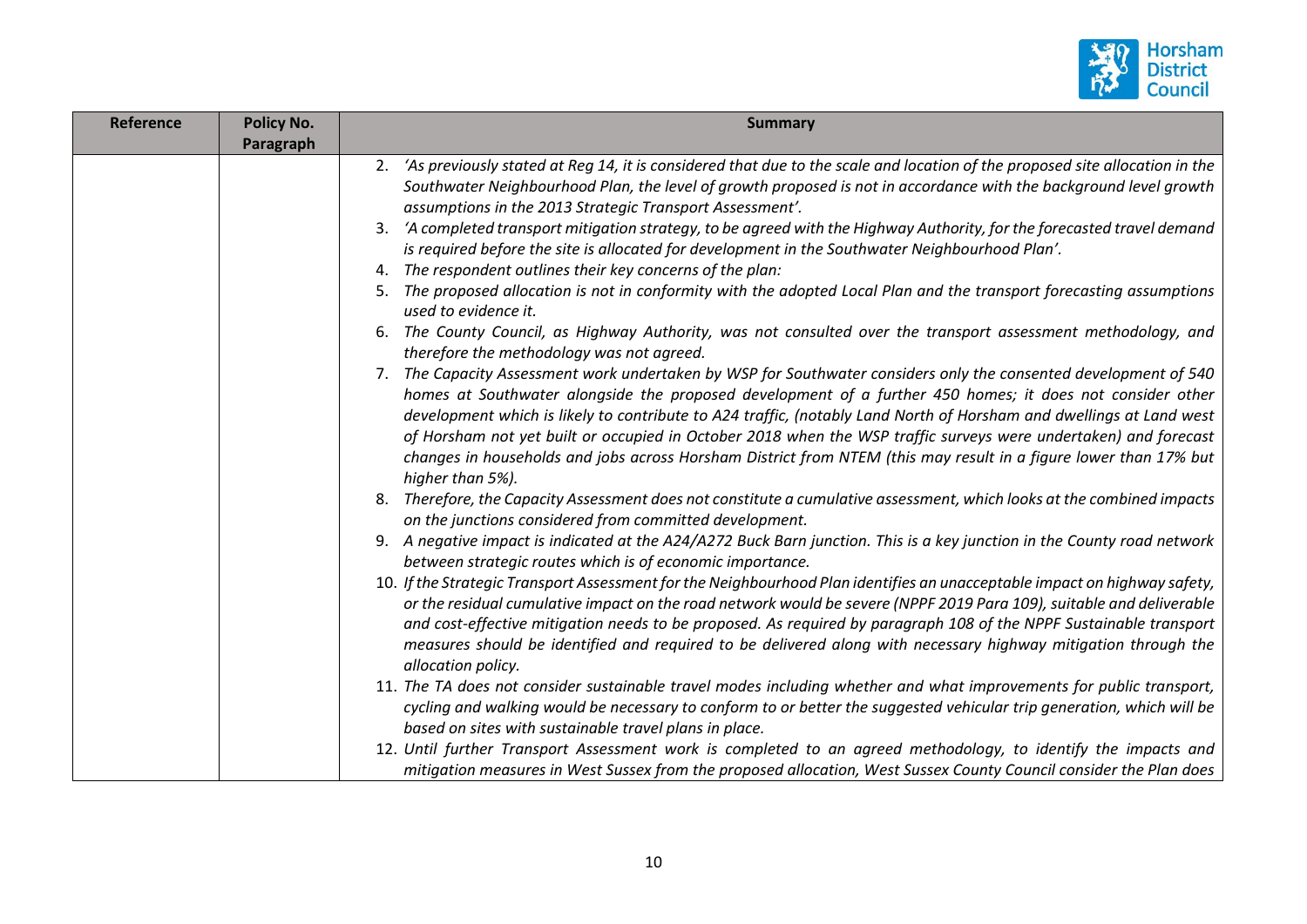

| Reference | Policy No. | <b>Summary</b>                                                                                                                                                                                                                                                                                                                                                                                                                                                                                                                                                                                                  |
|-----------|------------|-----------------------------------------------------------------------------------------------------------------------------------------------------------------------------------------------------------------------------------------------------------------------------------------------------------------------------------------------------------------------------------------------------------------------------------------------------------------------------------------------------------------------------------------------------------------------------------------------------------------|
|           | Paragraph  |                                                                                                                                                                                                                                                                                                                                                                                                                                                                                                                                                                                                                 |
|           |            | 2. 'As previously stated at Reg 14, it is considered that due to the scale and location of the proposed site allocation in the<br>Southwater Neighbourhood Plan, the level of growth proposed is not in accordance with the background level growth<br>assumptions in the 2013 Strategic Transport Assessment'.                                                                                                                                                                                                                                                                                                 |
|           |            | 3. 'A completed transport mitigation strategy, to be agreed with the Highway Authority, for the forecasted travel demand<br>is required before the site is allocated for development in the Southwater Neighbourhood Plan'.                                                                                                                                                                                                                                                                                                                                                                                     |
|           |            | The respondent outlines their key concerns of the plan:<br>4.                                                                                                                                                                                                                                                                                                                                                                                                                                                                                                                                                   |
|           |            | The proposed allocation is not in conformity with the adopted Local Plan and the transport forecasting assumptions<br>used to evidence it.                                                                                                                                                                                                                                                                                                                                                                                                                                                                      |
|           |            | The County Council, as Highway Authority, was not consulted over the transport assessment methodology, and<br>therefore the methodology was not agreed.                                                                                                                                                                                                                                                                                                                                                                                                                                                         |
|           |            | 7. The Capacity Assessment work undertaken by WSP for Southwater considers only the consented development of 540<br>homes at Southwater alongside the proposed development of a further 450 homes; it does not consider other<br>development which is likely to contribute to A24 traffic, (notably Land North of Horsham and dwellings at Land west<br>of Horsham not yet built or occupied in October 2018 when the WSP traffic surveys were undertaken) and forecast<br>changes in households and jobs across Horsham District from NTEM (this may result in a figure lower than 17% but<br>higher than 5%). |
|           |            | 8. Therefore, the Capacity Assessment does not constitute a cumulative assessment, which looks at the combined impacts<br>on the junctions considered from committed development.                                                                                                                                                                                                                                                                                                                                                                                                                               |
|           |            | 9. A negative impact is indicated at the A24/A272 Buck Barn junction. This is a key junction in the County road network<br>between strategic routes which is of economic importance.                                                                                                                                                                                                                                                                                                                                                                                                                            |
|           |            | 10. If the Strategic Transport Assessment for the Neighbourhood Plan identifies an unacceptable impact on highway safety,<br>or the residual cumulative impact on the road network would be severe (NPPF 2019 Para 109), suitable and deliverable<br>and cost-effective mitigation needs to be proposed. As required by paragraph 108 of the NPPF Sustainable transport<br>measures should be identified and required to be delivered along with necessary highway mitigation through the<br>allocation policy.                                                                                                 |
|           |            | 11. The TA does not consider sustainable travel modes including whether and what improvements for public transport,<br>cycling and walking would be necessary to conform to or better the suggested vehicular trip generation, which will be<br>based on sites with sustainable travel plans in place.                                                                                                                                                                                                                                                                                                          |
|           |            | 12. Until further Transport Assessment work is completed to an agreed methodology, to identify the impacts and<br>mitigation measures in West Sussex from the proposed allocation, West Sussex County Council consider the Plan does                                                                                                                                                                                                                                                                                                                                                                            |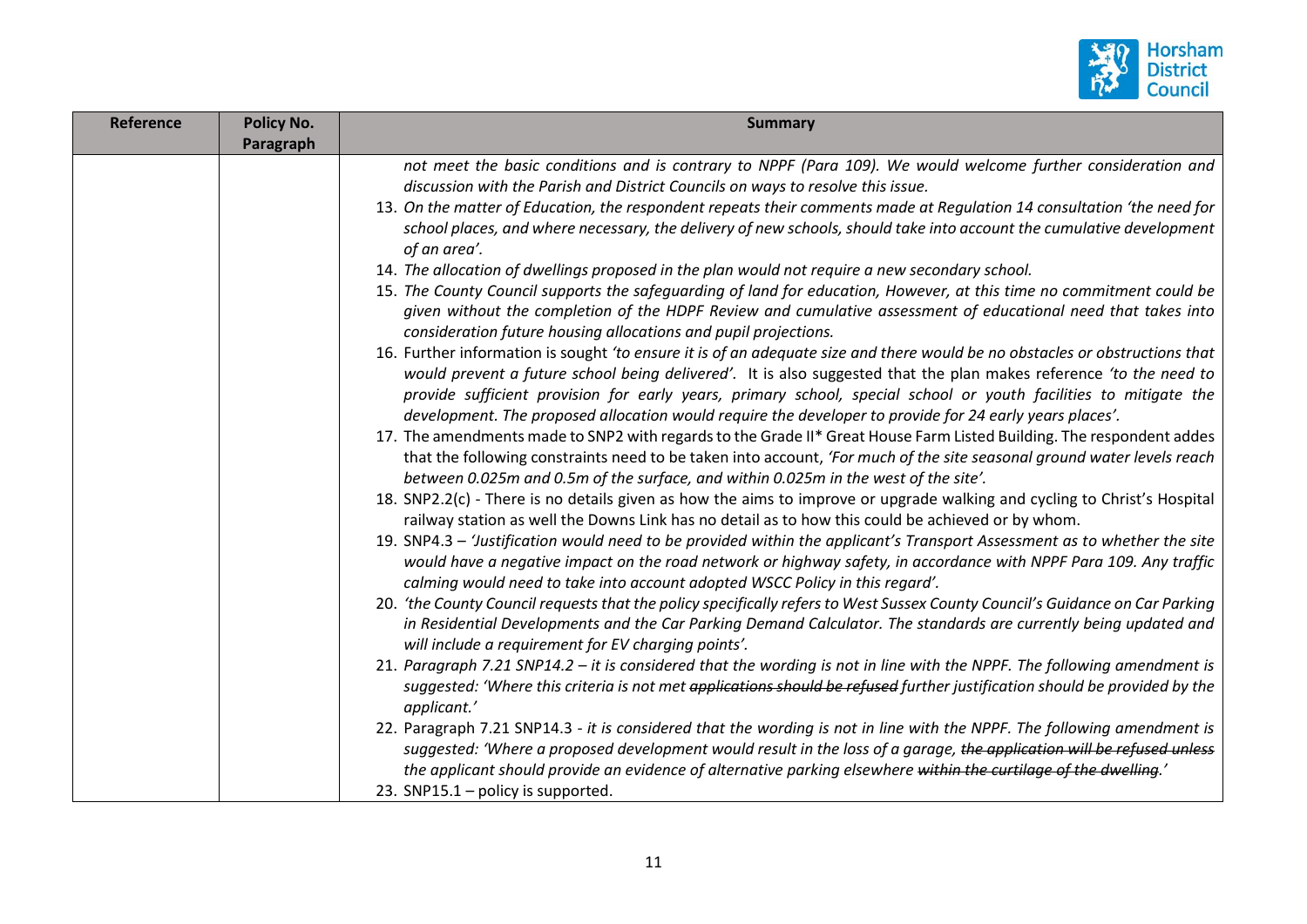

| Reference | <b>Policy No.</b> | <b>Summary</b>                                                                                                                                                                                                                                                                                                                                                                                                                                                                   |
|-----------|-------------------|----------------------------------------------------------------------------------------------------------------------------------------------------------------------------------------------------------------------------------------------------------------------------------------------------------------------------------------------------------------------------------------------------------------------------------------------------------------------------------|
|           | Paragraph         |                                                                                                                                                                                                                                                                                                                                                                                                                                                                                  |
|           |                   | not meet the basic conditions and is contrary to NPPF (Para 109). We would welcome further consideration and                                                                                                                                                                                                                                                                                                                                                                     |
|           |                   | discussion with the Parish and District Councils on ways to resolve this issue.                                                                                                                                                                                                                                                                                                                                                                                                  |
|           |                   | 13. On the matter of Education, the respondent repeats their comments made at Regulation 14 consultation 'the need for                                                                                                                                                                                                                                                                                                                                                           |
|           |                   | school places, and where necessary, the delivery of new schools, should take into account the cumulative development<br>of an area'.                                                                                                                                                                                                                                                                                                                                             |
|           |                   | 14. The allocation of dwellings proposed in the plan would not require a new secondary school.                                                                                                                                                                                                                                                                                                                                                                                   |
|           |                   | 15. The County Council supports the safeguarding of land for education, However, at this time no commitment could be<br>given without the completion of the HDPF Review and cumulative assessment of educational need that takes into<br>consideration future housing allocations and pupil projections.                                                                                                                                                                         |
|           |                   | 16. Further information is sought 'to ensure it is of an adequate size and there would be no obstacles or obstructions that<br>would prevent a future school being delivered'. It is also suggested that the plan makes reference 'to the need to<br>provide sufficient provision for early years, primary school, special school or youth facilities to mitigate the<br>development. The proposed allocation would require the developer to provide for 24 early years places'. |
|           |                   | 17. The amendments made to SNP2 with regards to the Grade II* Great House Farm Listed Building. The respondent addes<br>that the following constraints need to be taken into account, 'For much of the site seasonal ground water levels reach<br>between 0.025m and 0.5m of the surface, and within 0.025m in the west of the site'.                                                                                                                                            |
|           |                   | 18. SNP2.2(c) - There is no details given as how the aims to improve or upgrade walking and cycling to Christ's Hospital<br>railway station as well the Downs Link has no detail as to how this could be achieved or by whom.                                                                                                                                                                                                                                                    |
|           |                   | 19. SNP4.3 – 'Justification would need to be provided within the applicant's Transport Assessment as to whether the site<br>would have a negative impact on the road network or highway safety, in accordance with NPPF Para 109. Any traffic<br>calming would need to take into account adopted WSCC Policy in this regard'.                                                                                                                                                    |
|           |                   | 20. 'the County Council requests that the policy specifically refers to West Sussex County Council's Guidance on Car Parking<br>in Residential Developments and the Car Parking Demand Calculator. The standards are currently being updated and<br>will include a requirement for EV charging points'.                                                                                                                                                                          |
|           |                   | 21. Paragraph 7.21 SNP14.2 - it is considered that the wording is not in line with the NPPF. The following amendment is<br>suggested: 'Where this criteria is not met applications should be refused further justification should be provided by the<br>applicant.'                                                                                                                                                                                                              |
|           |                   | 22. Paragraph 7.21 SNP14.3 - it is considered that the wording is not in line with the NPPF. The following amendment is                                                                                                                                                                                                                                                                                                                                                          |
|           |                   | suggested: 'Where a proposed development would result in the loss of a garage, the application will be refused unless                                                                                                                                                                                                                                                                                                                                                            |
|           |                   | the applicant should provide an evidence of alternative parking elsewhere within the curtilage of the dwelling.'                                                                                                                                                                                                                                                                                                                                                                 |
|           |                   | 23. SNP15.1 - policy is supported.                                                                                                                                                                                                                                                                                                                                                                                                                                               |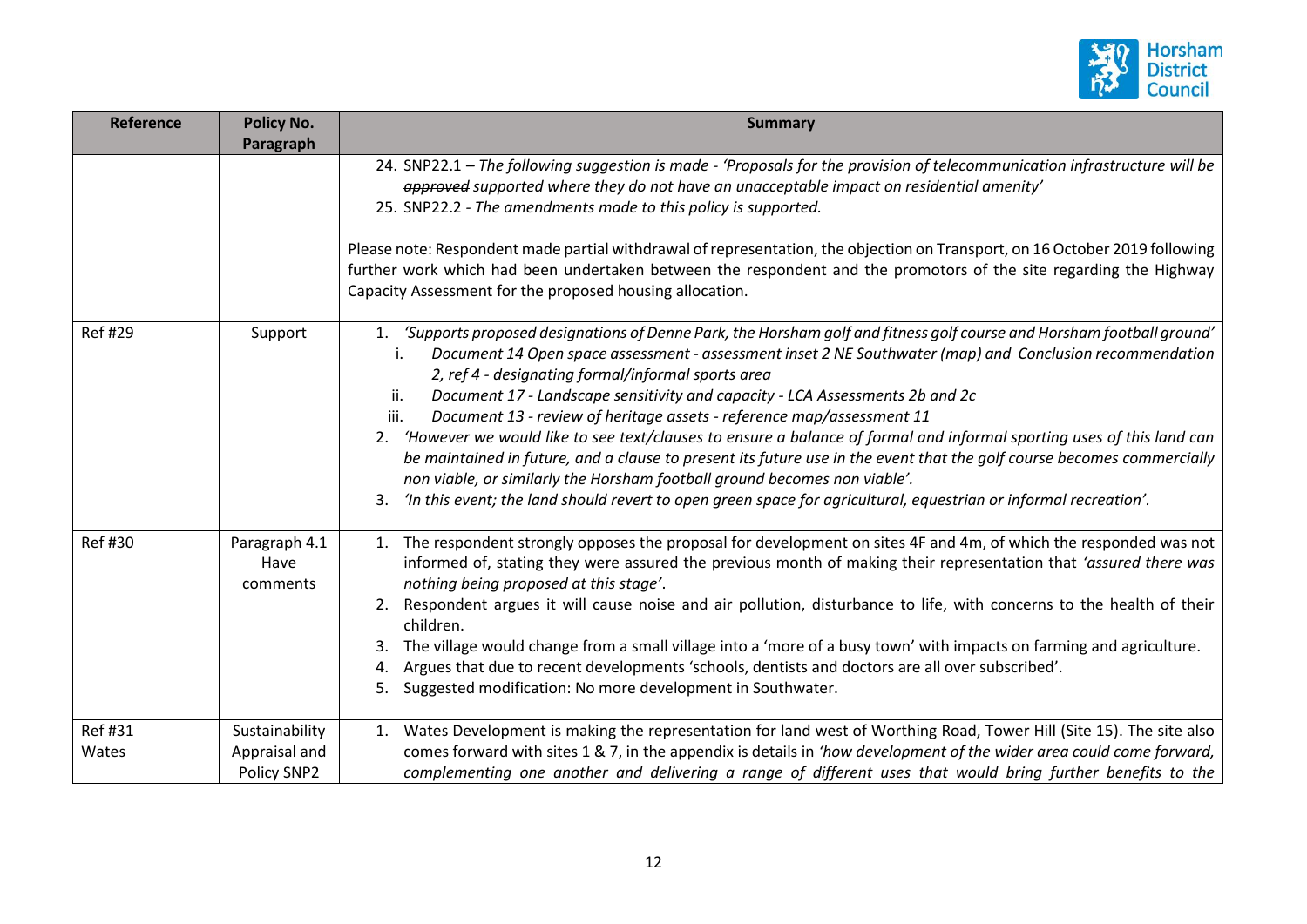

| <b>Reference</b> | <b>Policy No.</b><br>Paragraph                 | <b>Summary</b>                                                                                                                                                                                                                                                                                                                                                                                                                                                                                                                                                                                                                                                                                                                                                                                                                                                                                                                |
|------------------|------------------------------------------------|-------------------------------------------------------------------------------------------------------------------------------------------------------------------------------------------------------------------------------------------------------------------------------------------------------------------------------------------------------------------------------------------------------------------------------------------------------------------------------------------------------------------------------------------------------------------------------------------------------------------------------------------------------------------------------------------------------------------------------------------------------------------------------------------------------------------------------------------------------------------------------------------------------------------------------|
|                  |                                                | 24. SNP22.1 - The following suggestion is made - 'Proposals for the provision of telecommunication infrastructure will be<br>approved supported where they do not have an unacceptable impact on residential amenity'<br>25. SNP22.2 - The amendments made to this policy is supported.<br>Please note: Respondent made partial withdrawal of representation, the objection on Transport, on 16 October 2019 following<br>further work which had been undertaken between the respondent and the promotors of the site regarding the Highway                                                                                                                                                                                                                                                                                                                                                                                   |
|                  |                                                | Capacity Assessment for the proposed housing allocation.                                                                                                                                                                                                                                                                                                                                                                                                                                                                                                                                                                                                                                                                                                                                                                                                                                                                      |
| <b>Ref#29</b>    | Support                                        | 1. 'Supports proposed designations of Denne Park, the Horsham golf and fitness golf course and Horsham football ground'<br>Document 14 Open space assessment - assessment inset 2 NE Southwater (map) and Conclusion recommendation<br>2, ref 4 - designating formal/informal sports area<br>Document 17 - Landscape sensitivity and capacity - LCA Assessments 2b and 2c<br>ii.<br>Document 13 - review of heritage assets - reference map/assessment 11<br>iii.<br>2. 'However we would like to see text/clauses to ensure a balance of formal and informal sporting uses of this land can<br>be maintained in future, and a clause to present its future use in the event that the golf course becomes commercially<br>non viable, or similarly the Horsham football ground becomes non viable'.<br>'In this event; the land should revert to open green space for agricultural, equestrian or informal recreation'.<br>3. |
| <b>Ref#30</b>    | Paragraph 4.1<br>Have<br>comments              | 1. The respondent strongly opposes the proposal for development on sites 4F and 4m, of which the responded was not<br>informed of, stating they were assured the previous month of making their representation that 'assured there was<br>nothing being proposed at this stage'.<br>2. Respondent argues it will cause noise and air pollution, disturbance to life, with concerns to the health of their<br>children.<br>The village would change from a small village into a 'more of a busy town' with impacts on farming and agriculture.<br>Argues that due to recent developments 'schools, dentists and doctors are all over subscribed'.<br>4.<br>Suggested modification: No more development in Southwater.<br>5.                                                                                                                                                                                                    |
| Ref #31<br>Wates | Sustainability<br>Appraisal and<br>Policy SNP2 | 1. Wates Development is making the representation for land west of Worthing Road, Tower Hill (Site 15). The site also<br>comes forward with sites 1 & 7, in the appendix is details in 'how development of the wider area could come forward,<br>complementing one another and delivering a range of different uses that would bring further benefits to the                                                                                                                                                                                                                                                                                                                                                                                                                                                                                                                                                                  |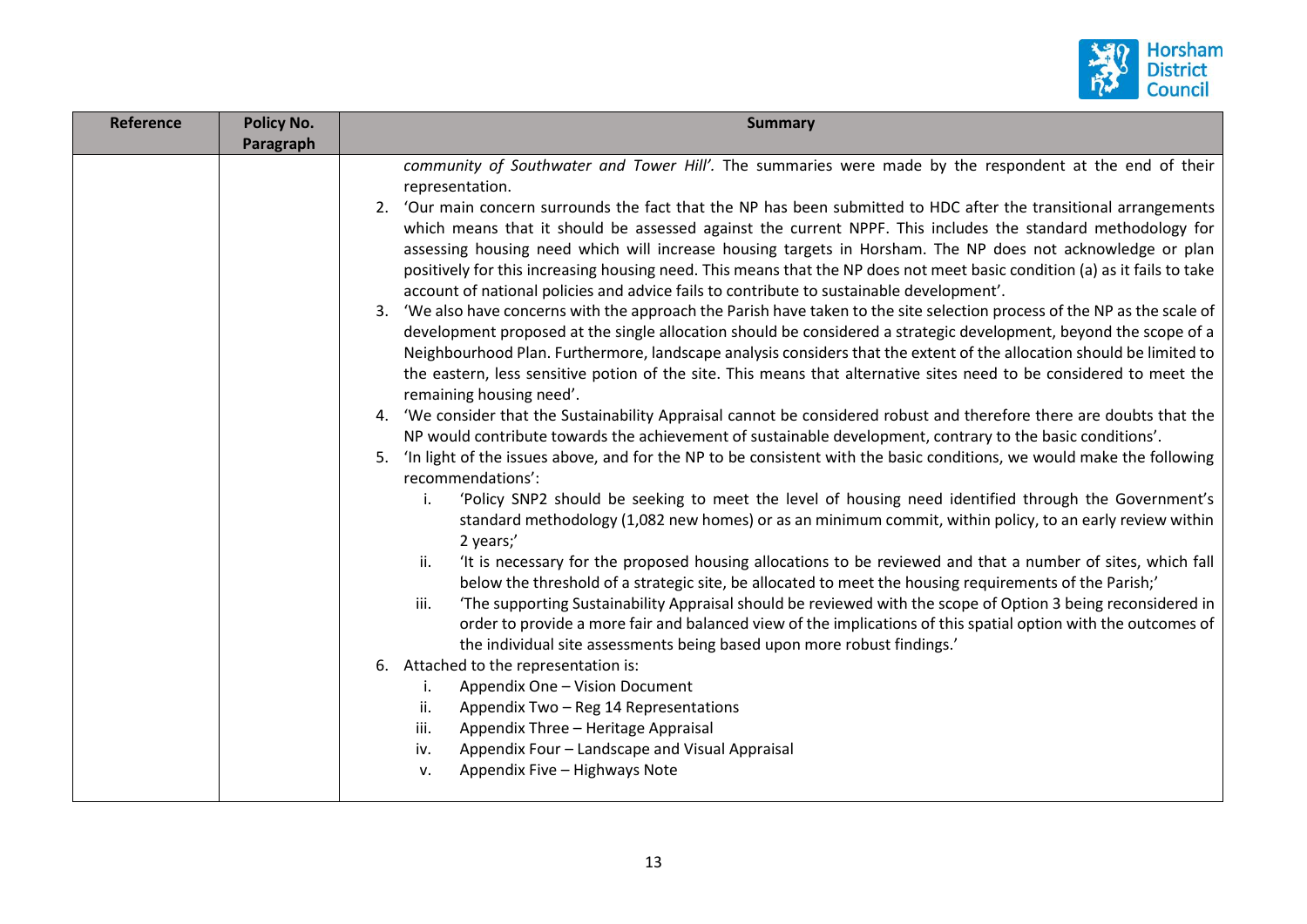

| <b>Reference</b> | <b>Policy No.</b><br>Paragraph | <b>Summary</b>                                                                                                                                                                                                                                                                                                                                                                                                                                                                                                                                                                                                                                                                                                                                                                                                                                                                                                                                                                                                                                                                                                                                                                                                                                                                                                                                                                                                                                                                                                                                                                                                                                                                                                                                                                                                                                                                                                                                                                                                                                                                                                                                                                                                                                                                                                                                                                                                                                                                                                                                                                                                                                                                                                 |
|------------------|--------------------------------|----------------------------------------------------------------------------------------------------------------------------------------------------------------------------------------------------------------------------------------------------------------------------------------------------------------------------------------------------------------------------------------------------------------------------------------------------------------------------------------------------------------------------------------------------------------------------------------------------------------------------------------------------------------------------------------------------------------------------------------------------------------------------------------------------------------------------------------------------------------------------------------------------------------------------------------------------------------------------------------------------------------------------------------------------------------------------------------------------------------------------------------------------------------------------------------------------------------------------------------------------------------------------------------------------------------------------------------------------------------------------------------------------------------------------------------------------------------------------------------------------------------------------------------------------------------------------------------------------------------------------------------------------------------------------------------------------------------------------------------------------------------------------------------------------------------------------------------------------------------------------------------------------------------------------------------------------------------------------------------------------------------------------------------------------------------------------------------------------------------------------------------------------------------------------------------------------------------------------------------------------------------------------------------------------------------------------------------------------------------------------------------------------------------------------------------------------------------------------------------------------------------------------------------------------------------------------------------------------------------------------------------------------------------------------------------------------------------|
|                  |                                | community of Southwater and Tower Hill'. The summaries were made by the respondent at the end of their<br>representation.<br>2. 'Our main concern surrounds the fact that the NP has been submitted to HDC after the transitional arrangements<br>which means that it should be assessed against the current NPPF. This includes the standard methodology for<br>assessing housing need which will increase housing targets in Horsham. The NP does not acknowledge or plan<br>positively for this increasing housing need. This means that the NP does not meet basic condition (a) as it fails to take<br>account of national policies and advice fails to contribute to sustainable development'.<br>3. 'We also have concerns with the approach the Parish have taken to the site selection process of the NP as the scale of<br>development proposed at the single allocation should be considered a strategic development, beyond the scope of a<br>Neighbourhood Plan. Furthermore, landscape analysis considers that the extent of the allocation should be limited to<br>the eastern, less sensitive potion of the site. This means that alternative sites need to be considered to meet the<br>remaining housing need'.<br>'We consider that the Sustainability Appraisal cannot be considered robust and therefore there are doubts that the<br>4.<br>NP would contribute towards the achievement of sustainable development, contrary to the basic conditions'.<br>'In light of the issues above, and for the NP to be consistent with the basic conditions, we would make the following<br>5.<br>recommendations':<br>'Policy SNP2 should be seeking to meet the level of housing need identified through the Government's<br>i.<br>standard methodology (1,082 new homes) or as an minimum commit, within policy, to an early review within<br>2 years;'<br>'It is necessary for the proposed housing allocations to be reviewed and that a number of sites, which fall<br>ii.<br>below the threshold of a strategic site, be allocated to meet the housing requirements of the Parish;'<br>'The supporting Sustainability Appraisal should be reviewed with the scope of Option 3 being reconsidered in<br>iii.<br>order to provide a more fair and balanced view of the implications of this spatial option with the outcomes of<br>the individual site assessments being based upon more robust findings.'<br>Attached to the representation is:<br>6.<br>Appendix One - Vision Document<br>İ.<br>Appendix Two - Reg 14 Representations<br>ii.<br>Appendix Three - Heritage Appraisal<br>iii.<br>Appendix Four - Landscape and Visual Appraisal<br>iv.<br>Appendix Five - Highways Note<br>v. |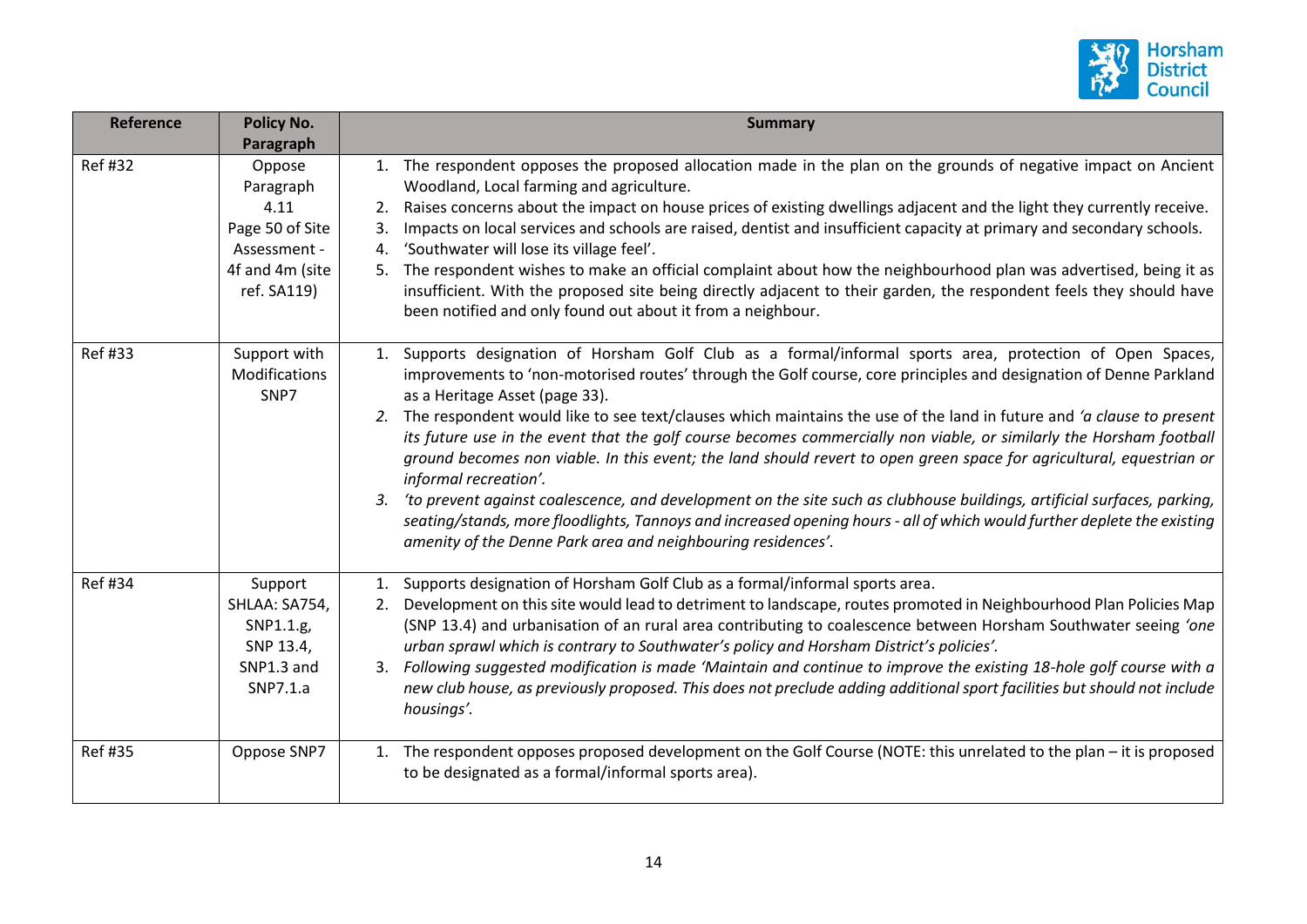

| <b>Reference</b> | <b>Policy No.</b>                                                                                | <b>Summary</b>                                                                                                                                                                                                                                                                                                                                                                                                                                                                                                                                                                                                                                                                                                                                                                                                                                                                                                                                                                                     |
|------------------|--------------------------------------------------------------------------------------------------|----------------------------------------------------------------------------------------------------------------------------------------------------------------------------------------------------------------------------------------------------------------------------------------------------------------------------------------------------------------------------------------------------------------------------------------------------------------------------------------------------------------------------------------------------------------------------------------------------------------------------------------------------------------------------------------------------------------------------------------------------------------------------------------------------------------------------------------------------------------------------------------------------------------------------------------------------------------------------------------------------|
|                  | Paragraph                                                                                        |                                                                                                                                                                                                                                                                                                                                                                                                                                                                                                                                                                                                                                                                                                                                                                                                                                                                                                                                                                                                    |
| Ref #32          | Oppose<br>Paragraph<br>4.11<br>Page 50 of Site<br>Assessment -<br>4f and 4m (site<br>ref. SA119) | 1. The respondent opposes the proposed allocation made in the plan on the grounds of negative impact on Ancient<br>Woodland, Local farming and agriculture.<br>Raises concerns about the impact on house prices of existing dwellings adjacent and the light they currently receive.<br>2.<br>Impacts on local services and schools are raised, dentist and insufficient capacity at primary and secondary schools.<br>3.<br>'Southwater will lose its village feel'.<br>4.<br>The respondent wishes to make an official complaint about how the neighbourhood plan was advertised, being it as<br>5.<br>insufficient. With the proposed site being directly adjacent to their garden, the respondent feels they should have<br>been notified and only found out about it from a neighbour.                                                                                                                                                                                                        |
| <b>Ref#33</b>    | Support with<br>Modifications<br>SNP7                                                            | Supports designation of Horsham Golf Club as a formal/informal sports area, protection of Open Spaces,<br>1.<br>improvements to 'non-motorised routes' through the Golf course, core principles and designation of Denne Parkland<br>as a Heritage Asset (page 33).<br>2. The respondent would like to see text/clauses which maintains the use of the land in future and 'a clause to present<br>its future use in the event that the golf course becomes commercially non viable, or similarly the Horsham football<br>ground becomes non viable. In this event; the land should revert to open green space for agricultural, equestrian or<br>informal recreation'.<br>'to prevent against coalescence, and development on the site such as clubhouse buildings, artificial surfaces, parking,<br>3.<br>seating/stands, more floodlights, Tannoys and increased opening hours - all of which would further deplete the existing<br>amenity of the Denne Park area and neighbouring residences'. |
| <b>Ref#34</b>    | Support<br>SHLAA: SA754,<br>SNP1.1.g,<br>SNP 13.4,<br>SNP1.3 and<br>SNP7.1.a                     | 1. Supports designation of Horsham Golf Club as a formal/informal sports area.<br>Development on this site would lead to detriment to landscape, routes promoted in Neighbourhood Plan Policies Map<br>2.<br>(SNP 13.4) and urbanisation of an rural area contributing to coalescence between Horsham Southwater seeing 'one<br>urban sprawl which is contrary to Southwater's policy and Horsham District's policies'.<br>Following suggested modification is made 'Maintain and continue to improve the existing 18-hole golf course with a<br>3.<br>new club house, as previously proposed. This does not preclude adding additional sport facilities but should not include<br>housings'.                                                                                                                                                                                                                                                                                                      |
| <b>Ref #35</b>   | Oppose SNP7                                                                                      | 1. The respondent opposes proposed development on the Golf Course (NOTE: this unrelated to the plan – it is proposed<br>to be designated as a formal/informal sports area).                                                                                                                                                                                                                                                                                                                                                                                                                                                                                                                                                                                                                                                                                                                                                                                                                        |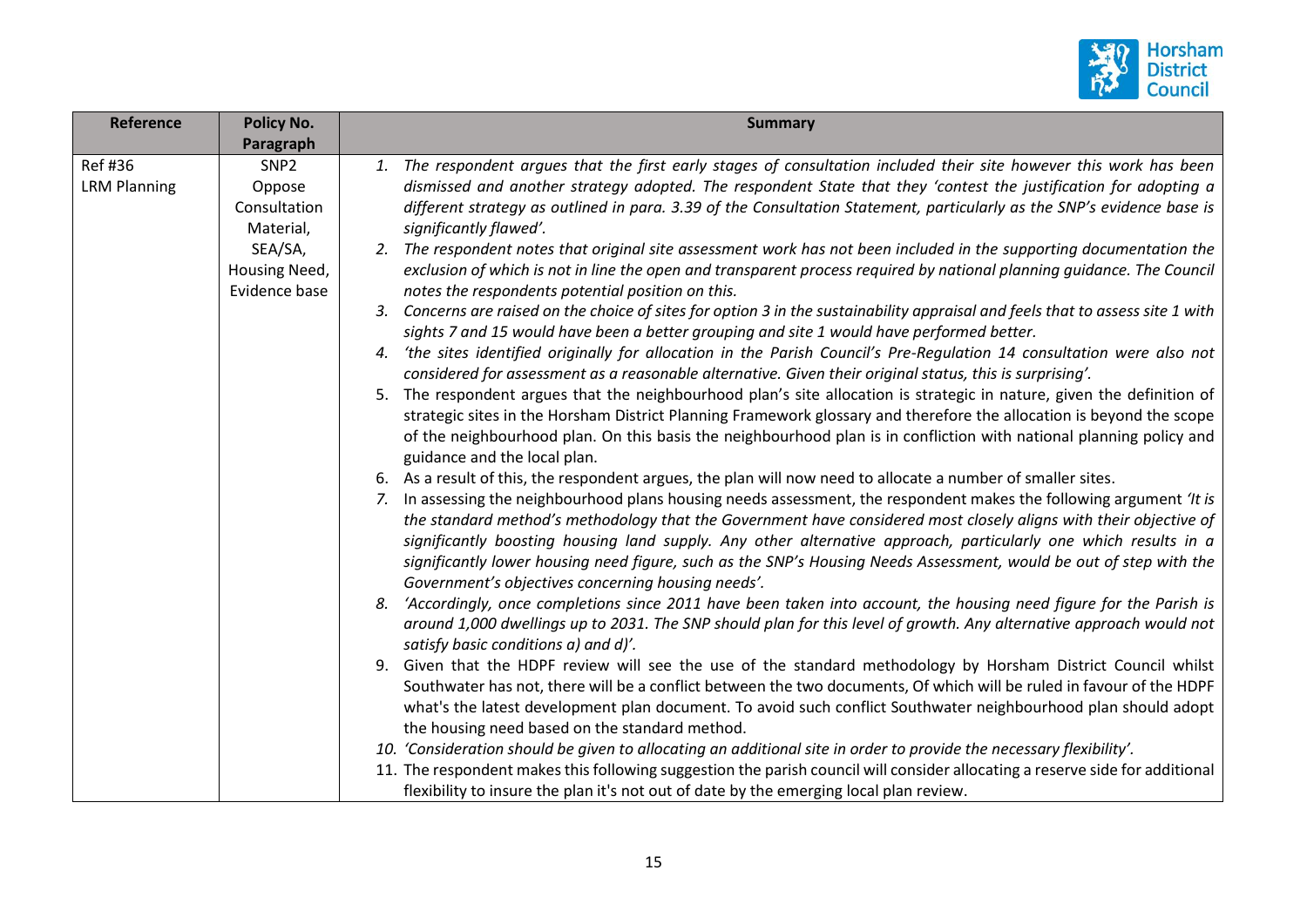

| Reference                      | Policy No.                                 | <b>Summary</b>                                                                                                                                                                                                                                                                                                                                                                                                                                                                                                                                                                                                                                           |
|--------------------------------|--------------------------------------------|----------------------------------------------------------------------------------------------------------------------------------------------------------------------------------------------------------------------------------------------------------------------------------------------------------------------------------------------------------------------------------------------------------------------------------------------------------------------------------------------------------------------------------------------------------------------------------------------------------------------------------------------------------|
|                                | Paragraph                                  |                                                                                                                                                                                                                                                                                                                                                                                                                                                                                                                                                                                                                                                          |
| Ref #36<br><b>LRM Planning</b> | SNP <sub>2</sub><br>Oppose<br>Consultation | 1. The respondent argues that the first early stages of consultation included their site however this work has been<br>dismissed and another strategy adopted. The respondent State that they 'contest the justification for adopting a<br>different strategy as outlined in para. 3.39 of the Consultation Statement, particularly as the SNP's evidence base is                                                                                                                                                                                                                                                                                        |
|                                | Material,                                  | significantly flawed'.                                                                                                                                                                                                                                                                                                                                                                                                                                                                                                                                                                                                                                   |
|                                | SEA/SA,<br>Housing Need,<br>Evidence base  | 2. The respondent notes that original site assessment work has not been included in the supporting documentation the<br>exclusion of which is not in line the open and transparent process required by national planning guidance. The Council<br>notes the respondents potential position on this.                                                                                                                                                                                                                                                                                                                                                      |
|                                |                                            | 3. Concerns are raised on the choice of sites for option 3 in the sustainability appraisal and feels that to assess site 1 with<br>sights 7 and 15 would have been a better grouping and site 1 would have performed better.                                                                                                                                                                                                                                                                                                                                                                                                                             |
|                                |                                            | 'the sites identified originally for allocation in the Parish Council's Pre-Regulation 14 consultation were also not<br>considered for assessment as a reasonable alternative. Given their original status, this is surprising'.                                                                                                                                                                                                                                                                                                                                                                                                                         |
|                                |                                            | The respondent argues that the neighbourhood plan's site allocation is strategic in nature, given the definition of<br>5.<br>strategic sites in the Horsham District Planning Framework glossary and therefore the allocation is beyond the scope<br>of the neighbourhood plan. On this basis the neighbourhood plan is in confliction with national planning policy and<br>guidance and the local plan.                                                                                                                                                                                                                                                 |
|                                |                                            | 6. As a result of this, the respondent argues, the plan will now need to allocate a number of smaller sites.<br>7. In assessing the neighbourhood plans housing needs assessment, the respondent makes the following argument 'It is<br>the standard method's methodology that the Government have considered most closely aligns with their objective of<br>significantly boosting housing land supply. Any other alternative approach, particularly one which results in a<br>significantly lower housing need figure, such as the SNP's Housing Needs Assessment, would be out of step with the<br>Government's objectives concerning housing needs'. |
|                                |                                            | 'Accordingly, once completions since 2011 have been taken into account, the housing need figure for the Parish is<br>8.<br>around 1,000 dwellings up to 2031. The SNP should plan for this level of growth. Any alternative approach would not<br>satisfy basic conditions a) and d)'.                                                                                                                                                                                                                                                                                                                                                                   |
|                                |                                            | Given that the HDPF review will see the use of the standard methodology by Horsham District Council whilst<br>9.<br>Southwater has not, there will be a conflict between the two documents, Of which will be ruled in favour of the HDPF<br>what's the latest development plan document. To avoid such conflict Southwater neighbourhood plan should adopt<br>the housing need based on the standard method.                                                                                                                                                                                                                                             |
|                                |                                            | 10. 'Consideration should be given to allocating an additional site in order to provide the necessary flexibility'.                                                                                                                                                                                                                                                                                                                                                                                                                                                                                                                                      |
|                                |                                            | 11. The respondent makes this following suggestion the parish council will consider allocating a reserve side for additional<br>flexibility to insure the plan it's not out of date by the emerging local plan review.                                                                                                                                                                                                                                                                                                                                                                                                                                   |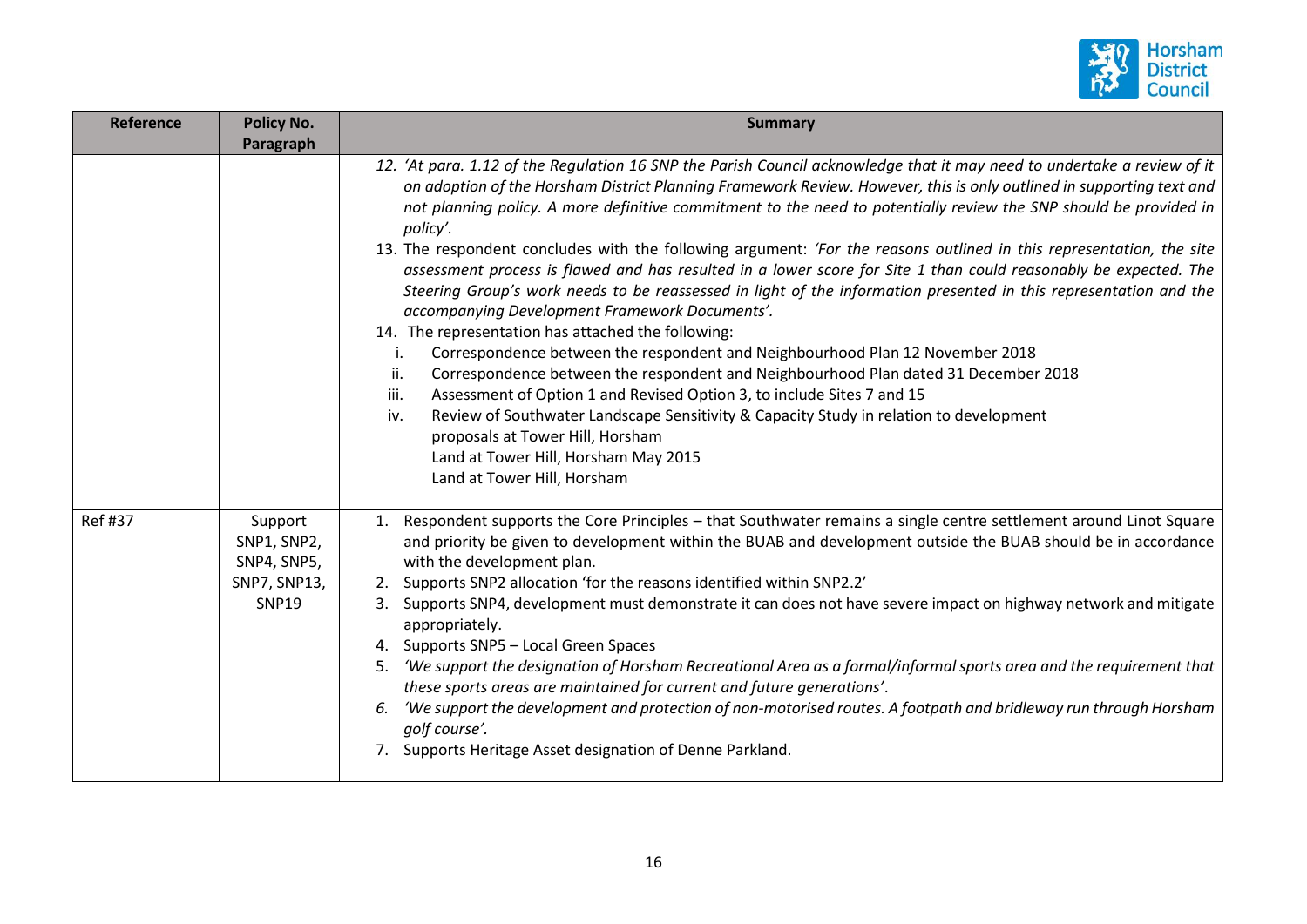

| <b>Reference</b> | <b>Policy No.</b><br>Paragraph                                        | <b>Summary</b>                                                                                                                                                                                                                                                                                                                                                                                                                                                                                                                                                                                                                                                                                                                                                                                                                                                                                                                                                                                                                                                                                                                                                                                                                                                                                                                               |
|------------------|-----------------------------------------------------------------------|----------------------------------------------------------------------------------------------------------------------------------------------------------------------------------------------------------------------------------------------------------------------------------------------------------------------------------------------------------------------------------------------------------------------------------------------------------------------------------------------------------------------------------------------------------------------------------------------------------------------------------------------------------------------------------------------------------------------------------------------------------------------------------------------------------------------------------------------------------------------------------------------------------------------------------------------------------------------------------------------------------------------------------------------------------------------------------------------------------------------------------------------------------------------------------------------------------------------------------------------------------------------------------------------------------------------------------------------|
|                  |                                                                       | 12. 'At para. 1.12 of the Regulation 16 SNP the Parish Council acknowledge that it may need to undertake a review of it<br>on adoption of the Horsham District Planning Framework Review. However, this is only outlined in supporting text and<br>not planning policy. A more definitive commitment to the need to potentially review the SNP should be provided in<br>policy'.<br>13. The respondent concludes with the following argument: 'For the reasons outlined in this representation, the site<br>assessment process is flawed and has resulted in a lower score for Site 1 than could reasonably be expected. The<br>Steering Group's work needs to be reassessed in light of the information presented in this representation and the<br>accompanying Development Framework Documents'.<br>14. The representation has attached the following:<br>Correspondence between the respondent and Neighbourhood Plan 12 November 2018<br>i.<br>Correspondence between the respondent and Neighbourhood Plan dated 31 December 2018<br>ii.<br>Assessment of Option 1 and Revised Option 3, to include Sites 7 and 15<br>iii.<br>Review of Southwater Landscape Sensitivity & Capacity Study in relation to development<br>iv.<br>proposals at Tower Hill, Horsham<br>Land at Tower Hill, Horsham May 2015<br>Land at Tower Hill, Horsham |
| <b>Ref#37</b>    | Support<br>SNP1, SNP2,<br>SNP4, SNP5,<br>SNP7, SNP13,<br><b>SNP19</b> | 1. Respondent supports the Core Principles - that Southwater remains a single centre settlement around Linot Square<br>and priority be given to development within the BUAB and development outside the BUAB should be in accordance<br>with the development plan.<br>2. Supports SNP2 allocation 'for the reasons identified within SNP2.2'<br>Supports SNP4, development must demonstrate it can does not have severe impact on highway network and mitigate<br>3.<br>appropriately.<br>4. Supports SNP5 - Local Green Spaces<br>'We support the designation of Horsham Recreational Area as a formal/informal sports area and the requirement that<br>5.<br>these sports areas are maintained for current and future generations'.<br>'We support the development and protection of non-motorised routes. A footpath and bridleway run through Horsham<br>6.<br>golf course'.<br>7. Supports Heritage Asset designation of Denne Parkland.                                                                                                                                                                                                                                                                                                                                                                                                |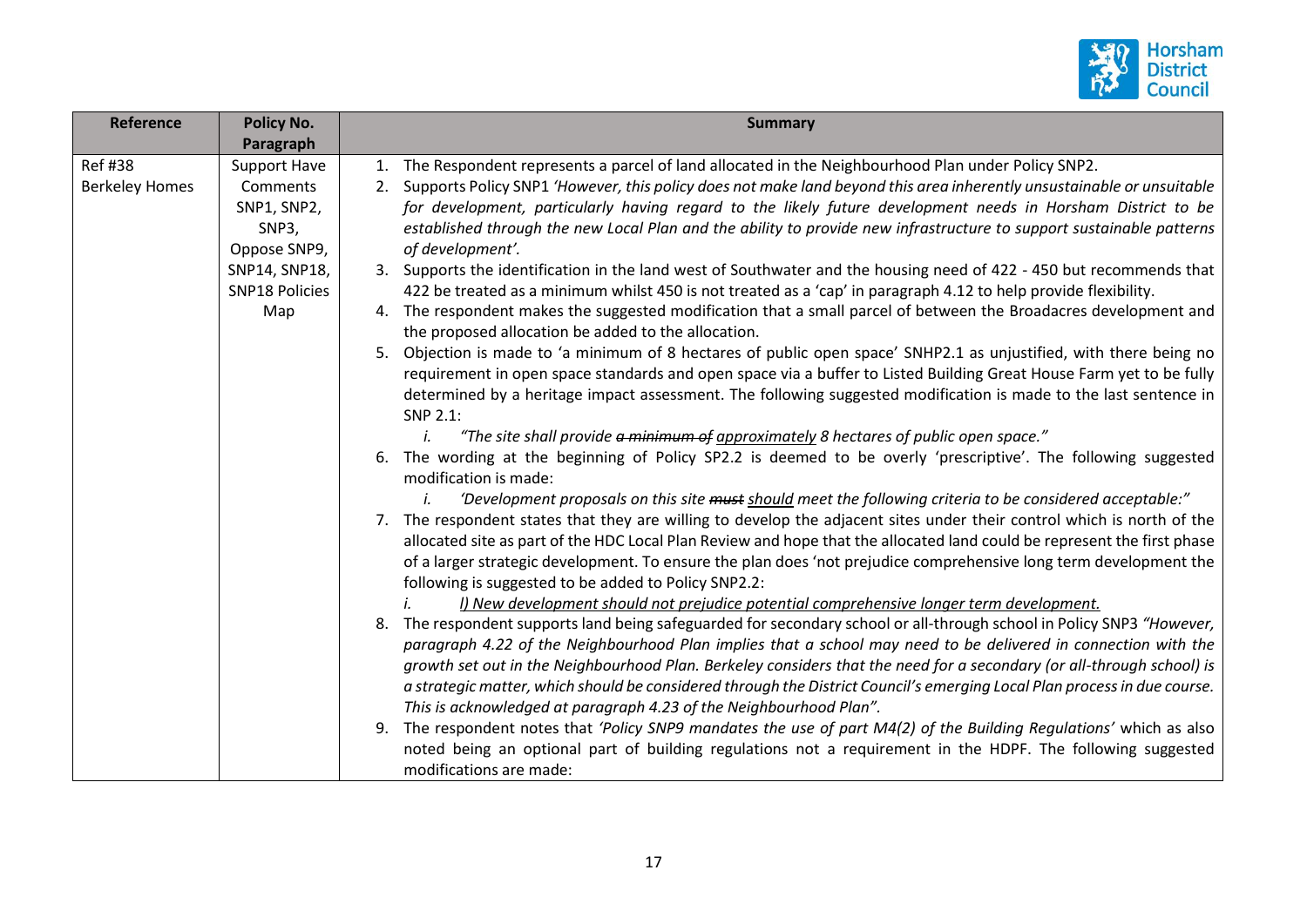

| <b>Reference</b>      | Policy No.            | <b>Summary</b>                                                                                                              |
|-----------------------|-----------------------|-----------------------------------------------------------------------------------------------------------------------------|
|                       | Paragraph             |                                                                                                                             |
| <b>Ref #38</b>        | <b>Support Have</b>   | The Respondent represents a parcel of land allocated in the Neighbourhood Plan under Policy SNP2.<br>1.                     |
| <b>Berkeley Homes</b> | Comments              | Supports Policy SNP1 'However, this policy does not make land beyond this area inherently unsustainable or unsuitable<br>2. |
|                       | SNP1, SNP2,           | for development, particularly having regard to the likely future development needs in Horsham District to be                |
|                       | SNP3,                 | established through the new Local Plan and the ability to provide new infrastructure to support sustainable patterns        |
|                       | Oppose SNP9,          | of development'.                                                                                                            |
|                       | SNP14, SNP18,         | 3. Supports the identification in the land west of Southwater and the housing need of 422 - 450 but recommends that         |
|                       | <b>SNP18 Policies</b> | 422 be treated as a minimum whilst 450 is not treated as a 'cap' in paragraph 4.12 to help provide flexibility.             |
|                       | Map                   | The respondent makes the suggested modification that a small parcel of between the Broadacres development and<br>4.         |
|                       |                       | the proposed allocation be added to the allocation.                                                                         |
|                       |                       | Objection is made to 'a minimum of 8 hectares of public open space' SNHP2.1 as unjustified, with there being no<br>5.       |
|                       |                       | requirement in open space standards and open space via a buffer to Listed Building Great House Farm yet to be fully         |
|                       |                       | determined by a heritage impact assessment. The following suggested modification is made to the last sentence in            |
|                       |                       | SNP 2.1:                                                                                                                    |
|                       |                       | "The site shall provide a minimum of approximately 8 hectares of public open space."<br>İ.                                  |
|                       |                       | The wording at the beginning of Policy SP2.2 is deemed to be overly 'prescriptive'. The following suggested<br>6.           |
|                       |                       | modification is made:                                                                                                       |
|                       |                       | 'Development proposals on this site must should meet the following criteria to be considered acceptable:"                   |
|                       |                       | 7. The respondent states that they are willing to develop the adjacent sites under their control which is north of the      |
|                       |                       | allocated site as part of the HDC Local Plan Review and hope that the allocated land could be represent the first phase     |
|                       |                       | of a larger strategic development. To ensure the plan does 'not prejudice comprehensive long term development the           |
|                       |                       | following is suggested to be added to Policy SNP2.2:                                                                        |
|                       |                       | I) New development should not prejudice potential comprehensive longer term development.                                    |
|                       |                       | The respondent supports land being safeguarded for secondary school or all-through school in Policy SNP3 "However,<br>8.    |
|                       |                       | paragraph 4.22 of the Neighbourhood Plan implies that a school may need to be delivered in connection with the              |
|                       |                       | growth set out in the Neighbourhood Plan. Berkeley considers that the need for a secondary (or all-through school) is       |
|                       |                       | a strategic matter, which should be considered through the District Council's emerging Local Plan process in due course.    |
|                       |                       | This is acknowledged at paragraph 4.23 of the Neighbourhood Plan".                                                          |
|                       |                       | The respondent notes that 'Policy SNP9 mandates the use of part M4(2) of the Building Regulations' which as also<br>9.      |
|                       |                       |                                                                                                                             |
|                       |                       | noted being an optional part of building regulations not a requirement in the HDPF. The following suggested                 |
|                       |                       | modifications are made:                                                                                                     |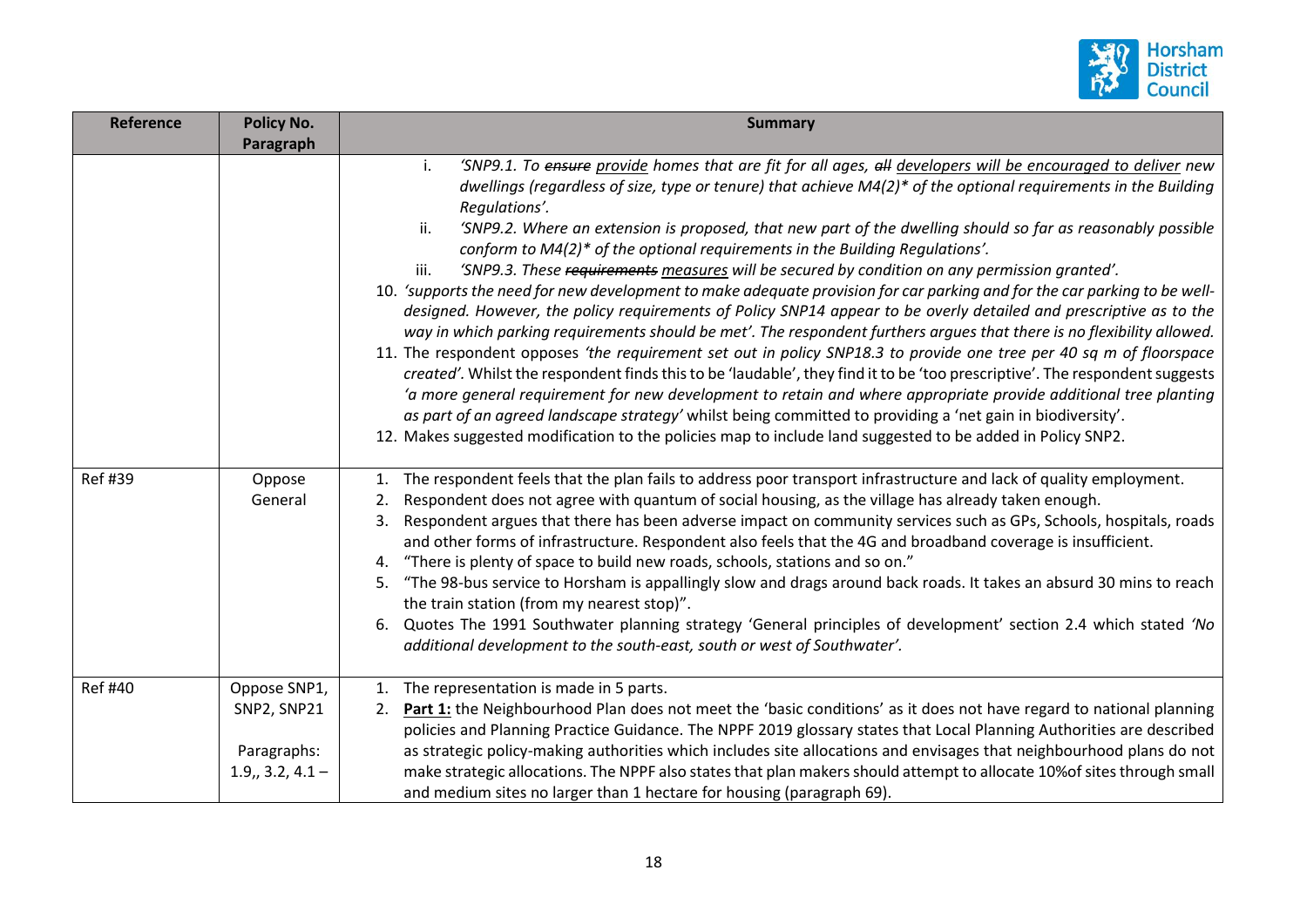

| Reference      | <b>Policy No.</b><br>Paragraph                                  | <b>Summary</b>                                                                                                                                                                                                                                                                                                                                                                                                                                                                                                                                                                                                                                                                                                                                                                                                                                                                                                                                                                                                                                                                                                                                                                                                                                                                                                                                                                                                                                                                                                                                           |
|----------------|-----------------------------------------------------------------|----------------------------------------------------------------------------------------------------------------------------------------------------------------------------------------------------------------------------------------------------------------------------------------------------------------------------------------------------------------------------------------------------------------------------------------------------------------------------------------------------------------------------------------------------------------------------------------------------------------------------------------------------------------------------------------------------------------------------------------------------------------------------------------------------------------------------------------------------------------------------------------------------------------------------------------------------------------------------------------------------------------------------------------------------------------------------------------------------------------------------------------------------------------------------------------------------------------------------------------------------------------------------------------------------------------------------------------------------------------------------------------------------------------------------------------------------------------------------------------------------------------------------------------------------------|
|                |                                                                 | 'SNP9.1. To ensure provide homes that are fit for all ages, all developers will be encouraged to deliver new<br>i.<br>dwellings (regardless of size, type or tenure) that achieve M4(2)* of the optional requirements in the Building<br>Regulations'.<br>ii.<br>'SNP9.2. Where an extension is proposed, that new part of the dwelling should so far as reasonably possible<br>conform to M4(2)* of the optional requirements in the Building Regulations'.<br>'SNP9.3. These requirements measures will be secured by condition on any permission granted'.<br>iii.<br>10. 'supports the need for new development to make adequate provision for car parking and for the car parking to be well-<br>designed. However, the policy requirements of Policy SNP14 appear to be overly detailed and prescriptive as to the<br>way in which parking requirements should be met'. The respondent furthers argues that there is no flexibility allowed.<br>11. The respondent opposes 'the requirement set out in policy SNP18.3 to provide one tree per 40 sq m of floorspace<br>created'. Whilst the respondent finds this to be 'laudable', they find it to be 'too prescriptive'. The respondent suggests<br>'a more general requirement for new development to retain and where appropriate provide additional tree planting<br>as part of an agreed landscape strategy' whilst being committed to providing a 'net gain in biodiversity'.<br>12. Makes suggested modification to the policies map to include land suggested to be added in Policy SNP2. |
| Ref #39        | Oppose<br>General                                               | 1. The respondent feels that the plan fails to address poor transport infrastructure and lack of quality employment.<br>Respondent does not agree with quantum of social housing, as the village has already taken enough.<br>2.<br>Respondent argues that there has been adverse impact on community services such as GPs, Schools, hospitals, roads<br>3.<br>and other forms of infrastructure. Respondent also feels that the 4G and broadband coverage is insufficient.<br>"There is plenty of space to build new roads, schools, stations and so on."<br>4.<br>"The 98-bus service to Horsham is appallingly slow and drags around back roads. It takes an absurd 30 mins to reach<br>5.<br>the train station (from my nearest stop)".<br>Quotes The 1991 Southwater planning strategy 'General principles of development' section 2.4 which stated 'No<br>6.<br>additional development to the south-east, south or west of Southwater'.                                                                                                                                                                                                                                                                                                                                                                                                                                                                                                                                                                                                            |
| <b>Ref #40</b> | Oppose SNP1,<br>SNP2, SNP21<br>Paragraphs:<br>$1.9, 3.2, 4.1 -$ | 1. The representation is made in 5 parts.<br>Part 1: the Neighbourhood Plan does not meet the 'basic conditions' as it does not have regard to national planning<br>2.<br>policies and Planning Practice Guidance. The NPPF 2019 glossary states that Local Planning Authorities are described<br>as strategic policy-making authorities which includes site allocations and envisages that neighbourhood plans do not<br>make strategic allocations. The NPPF also states that plan makers should attempt to allocate 10% of sites through small<br>and medium sites no larger than 1 hectare for housing (paragraph 69).                                                                                                                                                                                                                                                                                                                                                                                                                                                                                                                                                                                                                                                                                                                                                                                                                                                                                                                               |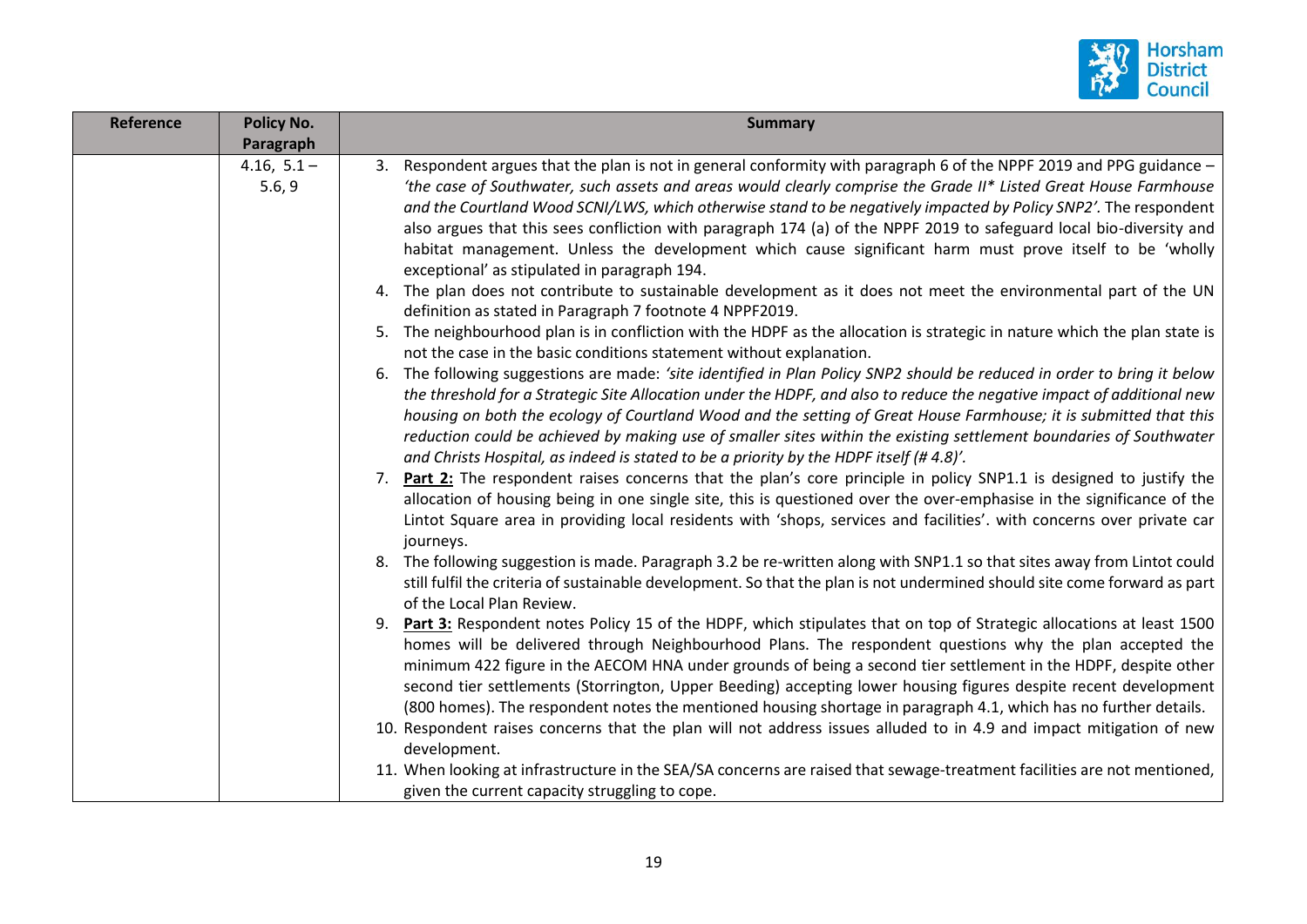

| <b>Reference</b> | <b>Policy No.</b>       | <b>Summary</b>                                                                                                                                                                                                                                                                                                                                                                                                                                                                                                                                                                                                                                                                                                                                                                                                                                                                                                                                                                                                                                                                                                                                                                                                                                                                                                                                                                                                                                                                                                                                                                                                                                                                                                                                                                                                                                                                 |
|------------------|-------------------------|--------------------------------------------------------------------------------------------------------------------------------------------------------------------------------------------------------------------------------------------------------------------------------------------------------------------------------------------------------------------------------------------------------------------------------------------------------------------------------------------------------------------------------------------------------------------------------------------------------------------------------------------------------------------------------------------------------------------------------------------------------------------------------------------------------------------------------------------------------------------------------------------------------------------------------------------------------------------------------------------------------------------------------------------------------------------------------------------------------------------------------------------------------------------------------------------------------------------------------------------------------------------------------------------------------------------------------------------------------------------------------------------------------------------------------------------------------------------------------------------------------------------------------------------------------------------------------------------------------------------------------------------------------------------------------------------------------------------------------------------------------------------------------------------------------------------------------------------------------------------------------|
|                  | Paragraph               |                                                                                                                                                                                                                                                                                                                                                                                                                                                                                                                                                                                                                                                                                                                                                                                                                                                                                                                                                                                                                                                                                                                                                                                                                                                                                                                                                                                                                                                                                                                                                                                                                                                                                                                                                                                                                                                                                |
|                  | $4.16, 5.1 -$<br>5.6, 9 | 3. Respondent argues that the plan is not in general conformity with paragraph 6 of the NPPF 2019 and PPG guidance -<br>'the case of Southwater, such assets and areas would clearly comprise the Grade II* Listed Great House Farmhouse<br>and the Courtland Wood SCNI/LWS, which otherwise stand to be negatively impacted by Policy SNP2'. The respondent<br>also argues that this sees confliction with paragraph 174 (a) of the NPPF 2019 to safeguard local bio-diversity and<br>habitat management. Unless the development which cause significant harm must prove itself to be 'wholly<br>exceptional' as stipulated in paragraph 194.<br>4. The plan does not contribute to sustainable development as it does not meet the environmental part of the UN<br>definition as stated in Paragraph 7 footnote 4 NPPF2019.<br>5. The neighbourhood plan is in confliction with the HDPF as the allocation is strategic in nature which the plan state is<br>not the case in the basic conditions statement without explanation.<br>6. The following suggestions are made: 'site identified in Plan Policy SNP2 should be reduced in order to bring it below<br>the threshold for a Strategic Site Allocation under the HDPF, and also to reduce the negative impact of additional new<br>housing on both the ecology of Courtland Wood and the setting of Great House Farmhouse; it is submitted that this<br>reduction could be achieved by making use of smaller sites within the existing settlement boundaries of Southwater<br>and Christs Hospital, as indeed is stated to be a priority by the HDPF itself (#4.8)'.<br>7. Part 2: The respondent raises concerns that the plan's core principle in policy SNP1.1 is designed to justify the<br>allocation of housing being in one single site, this is questioned over the over-emphasise in the significance of the |
|                  |                         | Lintot Square area in providing local residents with 'shops, services and facilities'. with concerns over private car<br>journeys.<br>8. The following suggestion is made. Paragraph 3.2 be re-written along with SNP1.1 so that sites away from Lintot could<br>still fulfil the criteria of sustainable development. So that the plan is not undermined should site come forward as part<br>of the Local Plan Review.<br>9. Part 3: Respondent notes Policy 15 of the HDPF, which stipulates that on top of Strategic allocations at least 1500<br>homes will be delivered through Neighbourhood Plans. The respondent questions why the plan accepted the                                                                                                                                                                                                                                                                                                                                                                                                                                                                                                                                                                                                                                                                                                                                                                                                                                                                                                                                                                                                                                                                                                                                                                                                                   |
|                  |                         | minimum 422 figure in the AECOM HNA under grounds of being a second tier settlement in the HDPF, despite other<br>second tier settlements (Storrington, Upper Beeding) accepting lower housing figures despite recent development<br>(800 homes). The respondent notes the mentioned housing shortage in paragraph 4.1, which has no further details.<br>10. Respondent raises concerns that the plan will not address issues alluded to in 4.9 and impact mitigation of new<br>development.<br>11. When looking at infrastructure in the SEA/SA concerns are raised that sewage-treatment facilities are not mentioned,<br>given the current capacity struggling to cope.                                                                                                                                                                                                                                                                                                                                                                                                                                                                                                                                                                                                                                                                                                                                                                                                                                                                                                                                                                                                                                                                                                                                                                                                     |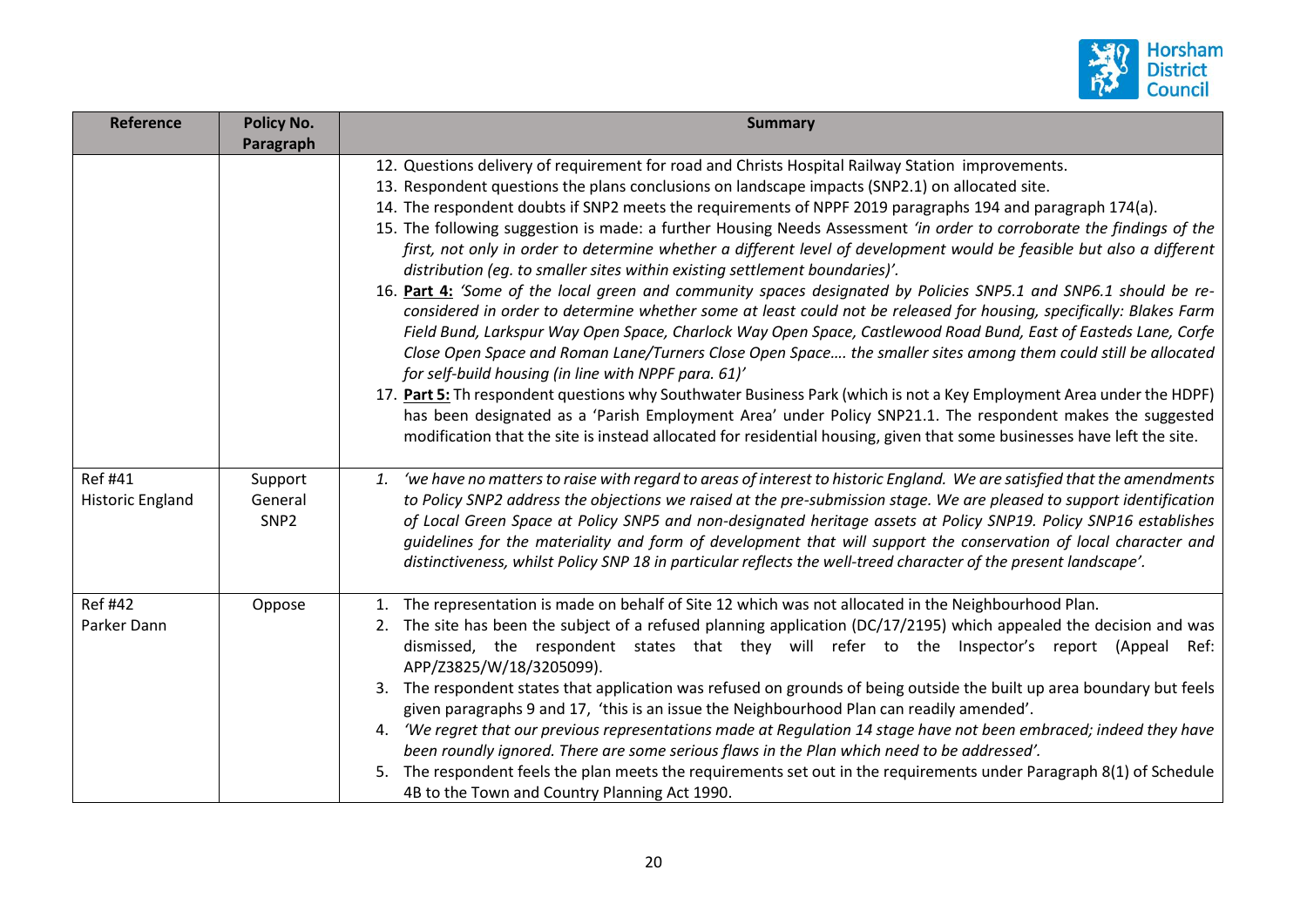

| Reference                                 | Policy No.<br>Paragraph                | <b>Summary</b>                                                                                                                                                                                                                                                                                                                                                                                                                                                                                                                                                                                                                                                                                                                                                                                                                                                                                                                                                                                                                                                                                                                                                                                                                                                                                                                                                                                                                                                                                                                                               |
|-------------------------------------------|----------------------------------------|--------------------------------------------------------------------------------------------------------------------------------------------------------------------------------------------------------------------------------------------------------------------------------------------------------------------------------------------------------------------------------------------------------------------------------------------------------------------------------------------------------------------------------------------------------------------------------------------------------------------------------------------------------------------------------------------------------------------------------------------------------------------------------------------------------------------------------------------------------------------------------------------------------------------------------------------------------------------------------------------------------------------------------------------------------------------------------------------------------------------------------------------------------------------------------------------------------------------------------------------------------------------------------------------------------------------------------------------------------------------------------------------------------------------------------------------------------------------------------------------------------------------------------------------------------------|
|                                           |                                        | 12. Questions delivery of requirement for road and Christs Hospital Railway Station improvements.<br>13. Respondent questions the plans conclusions on landscape impacts (SNP2.1) on allocated site.<br>14. The respondent doubts if SNP2 meets the requirements of NPPF 2019 paragraphs 194 and paragraph 174(a).<br>15. The following suggestion is made: a further Housing Needs Assessment 'in order to corroborate the findings of the<br>first, not only in order to determine whether a different level of development would be feasible but also a different<br>distribution (eg. to smaller sites within existing settlement boundaries)'.<br>16. Part 4: 'Some of the local green and community spaces designated by Policies SNP5.1 and SNP6.1 should be re-<br>considered in order to determine whether some at least could not be released for housing, specifically: Blakes Farm<br>Field Bund, Larkspur Way Open Space, Charlock Way Open Space, Castlewood Road Bund, East of Easteds Lane, Corfe<br>Close Open Space and Roman Lane/Turners Close Open Space the smaller sites among them could still be allocated<br>for self-build housing (in line with NPPF para. 61)'<br>17. Part 5: Th respondent questions why Southwater Business Park (which is not a Key Employment Area under the HDPF)<br>has been designated as a 'Parish Employment Area' under Policy SNP21.1. The respondent makes the suggested<br>modification that the site is instead allocated for residential housing, given that some businesses have left the site. |
| <b>Ref #41</b><br><b>Historic England</b> | Support<br>General<br>SNP <sub>2</sub> | 1. 'we have no matters to raise with regard to areas of interest to historic England. We are satisfied that the amendments<br>to Policy SNP2 address the objections we raised at the pre-submission stage. We are pleased to support identification<br>of Local Green Space at Policy SNP5 and non-designated heritage assets at Policy SNP19. Policy SNP16 establishes<br>guidelines for the materiality and form of development that will support the conservation of local character and<br>distinctiveness, whilst Policy SNP 18 in particular reflects the well-treed character of the present landscape'.                                                                                                                                                                                                                                                                                                                                                                                                                                                                                                                                                                                                                                                                                                                                                                                                                                                                                                                                              |
| <b>Ref #42</b><br>Parker Dann             | Oppose                                 | 1. The representation is made on behalf of Site 12 which was not allocated in the Neighbourhood Plan.<br>2. The site has been the subject of a refused planning application (DC/17/2195) which appealed the decision and was<br>dismissed, the respondent states that they will refer to the Inspector's report (Appeal Ref:<br>APP/Z3825/W/18/3205099).<br>3. The respondent states that application was refused on grounds of being outside the built up area boundary but feels<br>given paragraphs 9 and 17, 'this is an issue the Neighbourhood Plan can readily amended'.<br>'We regret that our previous representations made at Regulation 14 stage have not been embraced; indeed they have<br>4.<br>been roundly ignored. There are some serious flaws in the Plan which need to be addressed'.<br>The respondent feels the plan meets the requirements set out in the requirements under Paragraph 8(1) of Schedule<br>4B to the Town and Country Planning Act 1990.                                                                                                                                                                                                                                                                                                                                                                                                                                                                                                                                                                              |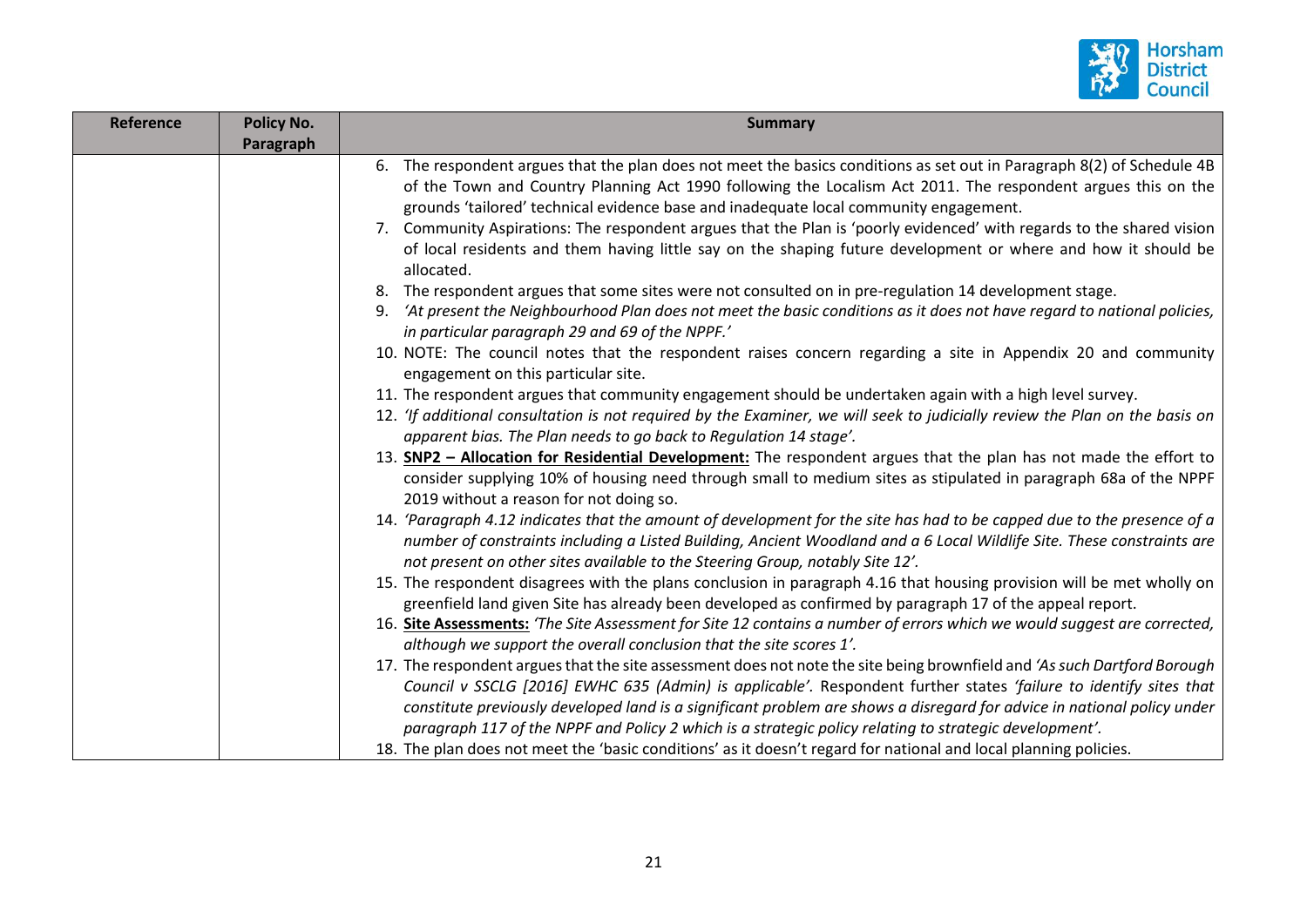

| Reference | <b>Policy No.</b> | <b>Summary</b>                                                                                                                                                                                                                                                                                                                                                                                                                                                                                                                                                                                                                                                                                                                                                                                                                                                                                                                                                                                                                                                                                                                                                                                                                                                                                                                                                                                                                                                                                                                                                                                                                                                                                                                                                                                                                                                                                                                                                                              |
|-----------|-------------------|---------------------------------------------------------------------------------------------------------------------------------------------------------------------------------------------------------------------------------------------------------------------------------------------------------------------------------------------------------------------------------------------------------------------------------------------------------------------------------------------------------------------------------------------------------------------------------------------------------------------------------------------------------------------------------------------------------------------------------------------------------------------------------------------------------------------------------------------------------------------------------------------------------------------------------------------------------------------------------------------------------------------------------------------------------------------------------------------------------------------------------------------------------------------------------------------------------------------------------------------------------------------------------------------------------------------------------------------------------------------------------------------------------------------------------------------------------------------------------------------------------------------------------------------------------------------------------------------------------------------------------------------------------------------------------------------------------------------------------------------------------------------------------------------------------------------------------------------------------------------------------------------------------------------------------------------------------------------------------------------|
|           | Paragraph         | 6. The respondent argues that the plan does not meet the basics conditions as set out in Paragraph 8(2) of Schedule 4B<br>of the Town and Country Planning Act 1990 following the Localism Act 2011. The respondent argues this on the<br>grounds 'tailored' technical evidence base and inadequate local community engagement.<br>7. Community Aspirations: The respondent argues that the Plan is 'poorly evidenced' with regards to the shared vision<br>of local residents and them having little say on the shaping future development or where and how it should be<br>allocated.<br>8. The respondent argues that some sites were not consulted on in pre-regulation 14 development stage.<br>'At present the Neighbourhood Plan does not meet the basic conditions as it does not have regard to national policies,<br>9.<br>in particular paragraph 29 and 69 of the NPPF.'<br>10. NOTE: The council notes that the respondent raises concern regarding a site in Appendix 20 and community<br>engagement on this particular site.<br>11. The respondent argues that community engagement should be undertaken again with a high level survey.<br>12. 'If additional consultation is not required by the Examiner, we will seek to judicially review the Plan on the basis on<br>apparent bias. The Plan needs to go back to Regulation 14 stage'.<br>13. <b>SNP2 - Allocation for Residential Development:</b> The respondent argues that the plan has not made the effort to<br>consider supplying 10% of housing need through small to medium sites as stipulated in paragraph 68a of the NPPF<br>2019 without a reason for not doing so.<br>14. 'Paragraph 4.12 indicates that the amount of development for the site has had to be capped due to the presence of a<br>number of constraints including a Listed Building, Ancient Woodland and a 6 Local Wildlife Site. These constraints are<br>not present on other sites available to the Steering Group, notably Site 12'. |
|           |                   | 15. The respondent disagrees with the plans conclusion in paragraph 4.16 that housing provision will be met wholly on<br>greenfield land given Site has already been developed as confirmed by paragraph 17 of the appeal report.<br>16. Site Assessments: 'The Site Assessment for Site 12 contains a number of errors which we would suggest are corrected,<br>although we support the overall conclusion that the site scores 1'.                                                                                                                                                                                                                                                                                                                                                                                                                                                                                                                                                                                                                                                                                                                                                                                                                                                                                                                                                                                                                                                                                                                                                                                                                                                                                                                                                                                                                                                                                                                                                        |
|           |                   | 17. The respondent argues that the site assessment does not note the site being brownfield and 'As such Dartford Borough<br>Council v SSCLG [2016] EWHC 635 (Admin) is applicable'. Respondent further states 'failure to identify sites that<br>constitute previously developed land is a significant problem are shows a disregard for advice in national policy under<br>paragraph 117 of the NPPF and Policy 2 which is a strategic policy relating to strategic development'.<br>18. The plan does not meet the 'basic conditions' as it doesn't regard for national and local planning policies.                                                                                                                                                                                                                                                                                                                                                                                                                                                                                                                                                                                                                                                                                                                                                                                                                                                                                                                                                                                                                                                                                                                                                                                                                                                                                                                                                                                      |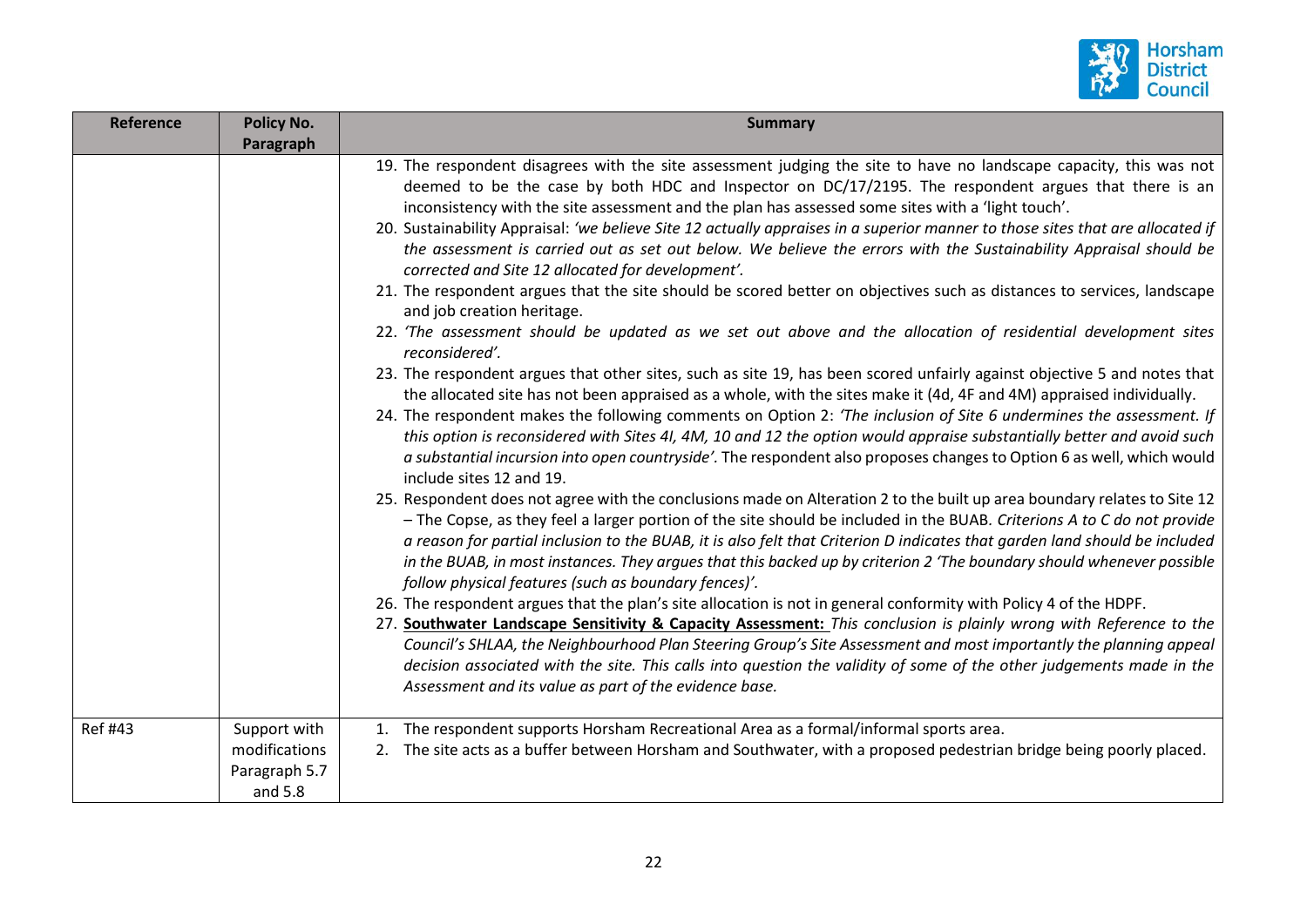

| <b>Reference</b> | <b>Policy No.</b> | <b>Summary</b>                                                                                                                                                                                                                                                                                                                                                                                                                                                                                                                                                                                                                                                                                                                                                                                                                                                                                                                                                                                                                                                                                                                                                                                                                                                                                                                                                                                                                                                                                                                                                                                                                                                                                                                                                                                                                                                                                                                                                                                                                                                                                                                                                                                                                                                                                                                                                                                                                                                                                                                                                                                                                                                                                                            |
|------------------|-------------------|---------------------------------------------------------------------------------------------------------------------------------------------------------------------------------------------------------------------------------------------------------------------------------------------------------------------------------------------------------------------------------------------------------------------------------------------------------------------------------------------------------------------------------------------------------------------------------------------------------------------------------------------------------------------------------------------------------------------------------------------------------------------------------------------------------------------------------------------------------------------------------------------------------------------------------------------------------------------------------------------------------------------------------------------------------------------------------------------------------------------------------------------------------------------------------------------------------------------------------------------------------------------------------------------------------------------------------------------------------------------------------------------------------------------------------------------------------------------------------------------------------------------------------------------------------------------------------------------------------------------------------------------------------------------------------------------------------------------------------------------------------------------------------------------------------------------------------------------------------------------------------------------------------------------------------------------------------------------------------------------------------------------------------------------------------------------------------------------------------------------------------------------------------------------------------------------------------------------------------------------------------------------------------------------------------------------------------------------------------------------------------------------------------------------------------------------------------------------------------------------------------------------------------------------------------------------------------------------------------------------------------------------------------------------------------------------------------------------------|
|                  | Paragraph         |                                                                                                                                                                                                                                                                                                                                                                                                                                                                                                                                                                                                                                                                                                                                                                                                                                                                                                                                                                                                                                                                                                                                                                                                                                                                                                                                                                                                                                                                                                                                                                                                                                                                                                                                                                                                                                                                                                                                                                                                                                                                                                                                                                                                                                                                                                                                                                                                                                                                                                                                                                                                                                                                                                                           |
|                  |                   | 19. The respondent disagrees with the site assessment judging the site to have no landscape capacity, this was not<br>deemed to be the case by both HDC and Inspector on DC/17/2195. The respondent argues that there is an<br>inconsistency with the site assessment and the plan has assessed some sites with a 'light touch'.<br>20. Sustainability Appraisal: 'we believe Site 12 actually appraises in a superior manner to those sites that are allocated if<br>the assessment is carried out as set out below. We believe the errors with the Sustainability Appraisal should be<br>corrected and Site 12 allocated for development'.<br>21. The respondent argues that the site should be scored better on objectives such as distances to services, landscape<br>and job creation heritage.<br>22. 'The assessment should be updated as we set out above and the allocation of residential development sites<br>reconsidered'.<br>23. The respondent argues that other sites, such as site 19, has been scored unfairly against objective 5 and notes that<br>the allocated site has not been appraised as a whole, with the sites make it (4d, 4F and 4M) appraised individually.<br>24. The respondent makes the following comments on Option 2: 'The inclusion of Site 6 undermines the assessment. If<br>this option is reconsidered with Sites 4I, 4M, 10 and 12 the option would appraise substantially better and avoid such<br>a substantial incursion into open countryside'. The respondent also proposes changes to Option 6 as well, which would<br>include sites 12 and 19.<br>25. Respondent does not agree with the conclusions made on Alteration 2 to the built up area boundary relates to Site 12<br>- The Copse, as they feel a larger portion of the site should be included in the BUAB. Criterions A to C do not provide<br>a reason for partial inclusion to the BUAB, it is also felt that Criterion D indicates that garden land should be included<br>in the BUAB, in most instances. They argues that this backed up by criterion 2 'The boundary should whenever possible<br>follow physical features (such as boundary fences)'.<br>26. The respondent argues that the plan's site allocation is not in general conformity with Policy 4 of the HDPF.<br>27. Southwater Landscape Sensitivity & Capacity Assessment: This conclusion is plainly wrong with Reference to the<br>Council's SHLAA, the Neighbourhood Plan Steering Group's Site Assessment and most importantly the planning appeal<br>decision associated with the site. This calls into question the validity of some of the other judgements made in the<br>Assessment and its value as part of the evidence base. |
|                  |                   |                                                                                                                                                                                                                                                                                                                                                                                                                                                                                                                                                                                                                                                                                                                                                                                                                                                                                                                                                                                                                                                                                                                                                                                                                                                                                                                                                                                                                                                                                                                                                                                                                                                                                                                                                                                                                                                                                                                                                                                                                                                                                                                                                                                                                                                                                                                                                                                                                                                                                                                                                                                                                                                                                                                           |
| <b>Ref #43</b>   | Support with      | The respondent supports Horsham Recreational Area as a formal/informal sports area.                                                                                                                                                                                                                                                                                                                                                                                                                                                                                                                                                                                                                                                                                                                                                                                                                                                                                                                                                                                                                                                                                                                                                                                                                                                                                                                                                                                                                                                                                                                                                                                                                                                                                                                                                                                                                                                                                                                                                                                                                                                                                                                                                                                                                                                                                                                                                                                                                                                                                                                                                                                                                                       |
|                  | modifications     | 2. The site acts as a buffer between Horsham and Southwater, with a proposed pedestrian bridge being poorly placed.                                                                                                                                                                                                                                                                                                                                                                                                                                                                                                                                                                                                                                                                                                                                                                                                                                                                                                                                                                                                                                                                                                                                                                                                                                                                                                                                                                                                                                                                                                                                                                                                                                                                                                                                                                                                                                                                                                                                                                                                                                                                                                                                                                                                                                                                                                                                                                                                                                                                                                                                                                                                       |
|                  | Paragraph 5.7     |                                                                                                                                                                                                                                                                                                                                                                                                                                                                                                                                                                                                                                                                                                                                                                                                                                                                                                                                                                                                                                                                                                                                                                                                                                                                                                                                                                                                                                                                                                                                                                                                                                                                                                                                                                                                                                                                                                                                                                                                                                                                                                                                                                                                                                                                                                                                                                                                                                                                                                                                                                                                                                                                                                                           |
|                  | and 5.8           |                                                                                                                                                                                                                                                                                                                                                                                                                                                                                                                                                                                                                                                                                                                                                                                                                                                                                                                                                                                                                                                                                                                                                                                                                                                                                                                                                                                                                                                                                                                                                                                                                                                                                                                                                                                                                                                                                                                                                                                                                                                                                                                                                                                                                                                                                                                                                                                                                                                                                                                                                                                                                                                                                                                           |